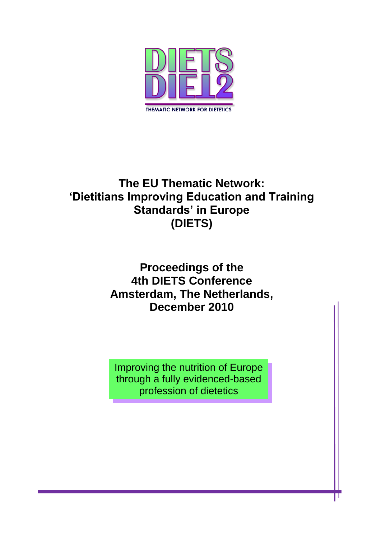

# **The EU Thematic Network: 'Dietitians Improving Education and Training Standards' in Europe (DIETS)**

# **Proceedings of the 4th DIETS Conference Amsterdam, The Netherlands, December 2010**

Improving the nutrition of Europe through a fully evidenced-based profession of dietetics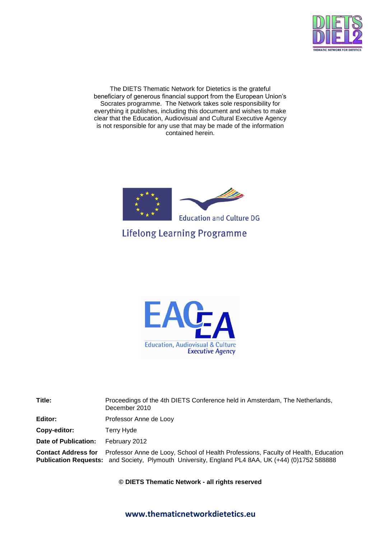

The DIETS Thematic Network for Dietetics is the grateful beneficiary of generous financial support from the European Union's Socrates programme. The Network takes sole responsibility for everything it publishes, including this document and wishes to make clear that the Education, Audiovisual and Cultural Executive Agency is not responsible for any use that may be made of the information contained herein.



# **Lifelong Learning Programme**



| Title:                      | Proceedings of the 4th DIETS Conference held in Amsterdam, The Netherlands,<br>December 2010                                                                                           |
|-----------------------------|----------------------------------------------------------------------------------------------------------------------------------------------------------------------------------------|
| Editor:                     | Professor Anne de Looy                                                                                                                                                                 |
| Copy-editor:                | Terry Hyde                                                                                                                                                                             |
| <b>Date of Publication:</b> | February 2012                                                                                                                                                                          |
| <b>Contact Address for</b>  | Professor Anne de Looy, School of Health Professions, Faculty of Health, Education<br>Publication Requests: and Society, Plymouth University, England PL4 8AA, UK (+44) (0)1752 588888 |

**© DIETS Thematic Network - all rights reserved**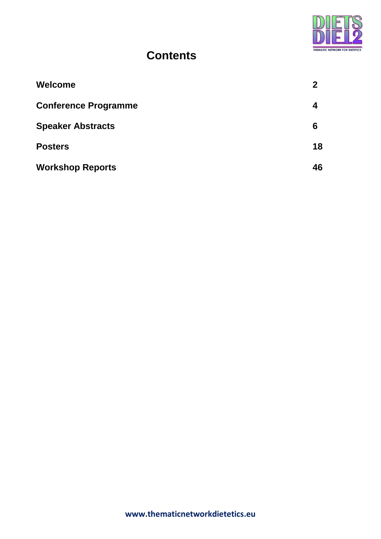

# **Contents**

| <b>Welcome</b>              | $\mathbf 2$ |
|-----------------------------|-------------|
| <b>Conference Programme</b> | 4           |
| <b>Speaker Abstracts</b>    | 6           |
| <b>Posters</b>              | 18          |
| <b>Workshop Reports</b>     | 46          |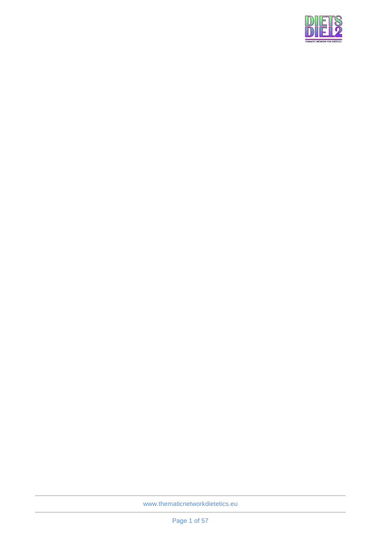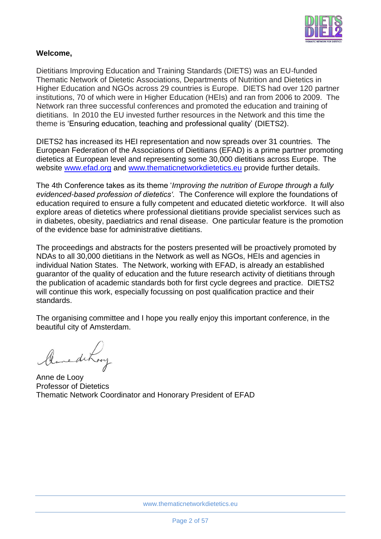

## **Welcome,**

Dietitians Improving Education and Training Standards (DIETS) was an EU-funded Thematic Network of Dietetic Associations, Departments of Nutrition and Dietetics in Higher Education and NGOs across 29 countries is Europe. DIETS had over 120 partner institutions, 70 of which were in Higher Education (HEIs) and ran from 2006 to 2009. The Network ran three successful conferences and promoted the education and training of dietitians. In 2010 the EU invested further resources in the Network and this time the theme is 'Ensuring education, teaching and professional quality' (DIETS2).

DIETS2 has increased its HEI representation and now spreads over 31 countries. The European Federation of the Associations of Dietitians (EFAD) is a prime partner promoting dietetics at European level and representing some 30,000 dietitians across Europe. The website [www.efad.org](http://www.efad.org/) and [www.thematicnetworkdietetics.eu](http://www.thematicnetworkdietetics.eu/) provide further details.

The 4th Conference takes as its theme '*Improving the nutrition of Europe through a fully evidenced-based profession of dietetics'.* The Conference will explore the foundations of education required to ensure a fully competent and educated dietetic workforce. It will also explore areas of dietetics where professional dietitians provide specialist services such as in diabetes, obesity, paediatrics and renal disease. One particular feature is the promotion of the evidence base for administrative dietitians.

The proceedings and abstracts for the posters presented will be proactively promoted by NDAs to all 30,000 dietitians in the Network as well as NGOs, HEIs and agencies in individual Nation States. The Network, working with EFAD, is already an established guarantor of the quality of education and the future research activity of dietitians through the publication of academic standards both for first cycle degrees and practice. DIETS2 will continue this work, especially focussing on post qualification practice and their standards.

The organising committee and I hope you really enjoy this important conference, in the beautiful city of Amsterdam.

Rive det

Anne de Looy Professor of Dietetics Thematic Network Coordinator and Honorary President of EFAD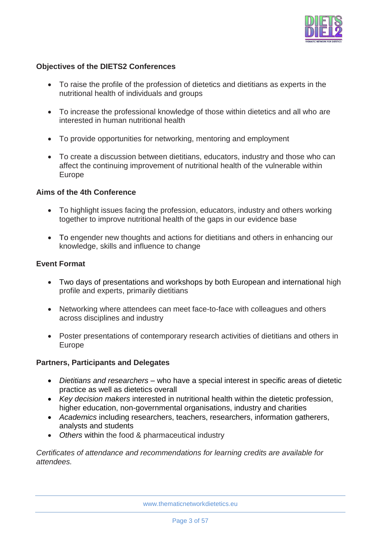

#### **Objectives of the DIETS2 Conferences**

- To raise the profile of the profession of dietetics and dietitians as experts in the nutritional health of individuals and groups
- To increase the professional knowledge of those within dietetics and all who are interested in human nutritional health
- To provide opportunities for networking, mentoring and employment
- To create a discussion between dietitians, educators, industry and those who can affect the continuing improvement of nutritional health of the vulnerable within Europe

#### **Aims of the 4th Conference**

- To highlight issues facing the profession, educators, industry and others working together to improve nutritional health of the gaps in our evidence base
- To engender new thoughts and actions for dietitians and others in enhancing our knowledge, skills and influence to change

#### **Event Format**

- Two days of presentations and workshops by both European and international high profile and experts, primarily dietitians
- Networking where attendees can meet face-to-face with colleagues and others across disciplines and industry
- Poster presentations of contemporary research activities of dietitians and others in Europe

#### **Partners, Participants and Delegates**

- *Dietitians and researchers* who have a special interest in specific areas of dietetic practice as well as dietetics overall
- *Key decision makers* interested in nutritional health within the dietetic profession, higher education, non-governmental organisations, industry and charities
- *Academics* including researchers, teachers, researchers, information gatherers, analysts and students
- *Others* within the food & pharmaceutical industry

*Certificates of attendance and recommendations for learning credits are available for attendees.*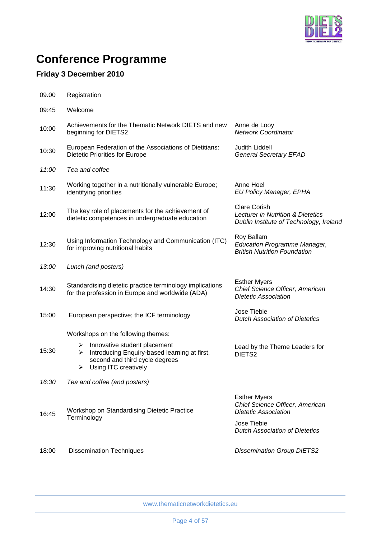

# **Conference Programme**

# **Friday 3 December 2010**

| 09.00 | Registration                                                                                                                                          |                                                                                                                |
|-------|-------------------------------------------------------------------------------------------------------------------------------------------------------|----------------------------------------------------------------------------------------------------------------|
| 09:45 | Welcome                                                                                                                                               |                                                                                                                |
| 10:00 | Achievements for the Thematic Network DIETS and new<br>beginning for DIETS2                                                                           | Anne de Looy<br><b>Network Coordinator</b>                                                                     |
| 10:30 | European Federation of the Associations of Dietitians:<br><b>Dietetic Priorities for Europe</b>                                                       | <b>Judith Liddell</b><br><b>General Secretary EFAD</b>                                                         |
| 11:00 | Tea and coffee                                                                                                                                        |                                                                                                                |
| 11:30 | Working together in a nutritionally vulnerable Europe;<br>identifying priorities                                                                      | Anne Hoel<br><b>EU Policy Manager, EPHA</b>                                                                    |
| 12:00 | The key role of placements for the achievement of<br>dietetic competences in undergraduate education                                                  | <b>Clare Corish</b><br><b>Lecturer in Nutrition &amp; Dietetics</b><br>Dublin Institute of Technology, Ireland |
| 12:30 | Using Information Technology and Communication (ITC)<br>for improving nutritional habits                                                              | Roy Ballam<br><b>Education Programme Manager,</b><br><b>British Nutrition Foundation</b>                       |
| 13:00 | Lunch (and posters)                                                                                                                                   |                                                                                                                |
| 14:30 | Standardising dietetic practice terminology implications<br>for the profession in Europe and worldwide (ADA)                                          | <b>Esther Myers</b><br>Chief Science Officer, American<br><b>Dietetic Association</b>                          |
| 15:00 | European perspective; the ICF terminology                                                                                                             | Jose Tiebie<br><b>Dutch Association of Dietetics</b>                                                           |
|       | Workshops on the following themes:                                                                                                                    |                                                                                                                |
| 15:30 | Innovative student placement<br>➤<br>Introducing Enquiry-based learning at first,<br>➤<br>second and third cycle degrees<br>Using ITC creatively<br>➤ | Lead by the Theme Leaders for<br>DIETS <sub>2</sub>                                                            |
| 16:30 | Tea and coffee (and posters)                                                                                                                          |                                                                                                                |
| 16:45 | Workshop on Standardising Dietetic Practice<br>Terminology                                                                                            | <b>Esther Myers</b><br>Chief Science Officer, American<br><b>Dietetic Association</b><br>Jose Tiebie           |
|       |                                                                                                                                                       | <b>Dutch Association of Dietetics</b>                                                                          |
| 18:00 | <b>Dissemination Techniques</b>                                                                                                                       | <b>Dissemination Group DIETS2</b>                                                                              |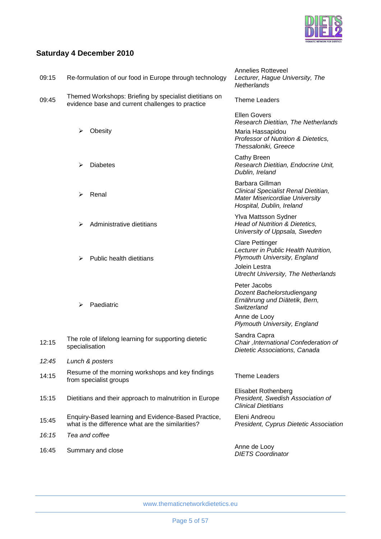

# **Saturday 4 December 2010**

| 09:15 | Re-formulation of our food in Europe through technology                                                    | Annelies Rotteveel<br>Lecturer, Hague University, The<br>Netherlands                                                                          |  |
|-------|------------------------------------------------------------------------------------------------------------|-----------------------------------------------------------------------------------------------------------------------------------------------|--|
| 09:45 | Themed Workshops: Briefing by specialist dietitians on<br>evidence base and current challenges to practice | <b>Theme Leaders</b>                                                                                                                          |  |
|       | Obesity<br>➤                                                                                               | <b>Ellen Govers</b><br>Research Dietitian, The Netherlands<br>Maria Hassapidou<br>Professor of Nutrition & Dietetics,<br>Thessaloniki, Greece |  |
|       | ➤<br><b>Diabetes</b>                                                                                       | Cathy Breen<br>Research Dietitian, Endocrine Unit,<br>Dublin, Ireland                                                                         |  |
|       | ➤<br>Renal                                                                                                 | Barbara Gillman<br>Clinical Specialist Renal Dietitian,<br><b>Mater Misericordiae University</b><br>Hospital, Dublin, Ireland                 |  |
|       | Administrative dietitians<br>≻                                                                             | <b>Ylva Mattsson Sydner</b><br>Head of Nutrition & Dietetics,<br>University of Uppsala, Sweden                                                |  |
|       | Public health dietitians<br>➤                                                                              | <b>Clare Pettinger</b><br>Lecturer in Public Health Nutrition,<br>Plymouth University, England                                                |  |
|       |                                                                                                            | Jolein Lestra<br><b>Utrecht University, The Netherlands</b>                                                                                   |  |
|       | Paediatric<br>⋗                                                                                            | Peter Jacobs<br>Dozent Bachelorstudiengang<br>Ernährung und Diätetik, Bern,<br>Switzerland                                                    |  |
|       |                                                                                                            | Anne de Looy<br>Plymouth University, England                                                                                                  |  |
| 12:15 | The role of lifelong learning for supporting dietetic<br>specialisation                                    | Sandra Capra<br>Chair, International Confederation of<br>Dietetic Associations, Canada                                                        |  |
| 12:45 | Lunch & posters                                                                                            |                                                                                                                                               |  |
| 14:15 | Resume of the morning workshops and key findings<br>from specialist groups                                 | Theme Leaders                                                                                                                                 |  |
| 15:15 | Dietitians and their approach to malnutrition in Europe                                                    | <b>Elisabet Rothenberg</b><br>President, Swedish Association of<br><b>Clinical Dietitians</b>                                                 |  |
| 15:45 | Enquiry-Based learning and Evidence-Based Practice,<br>what is the difference what are the similarities?   | Eleni Andreou<br>President, Cyprus Dietetic Association                                                                                       |  |
| 16:15 | Tea and coffee                                                                                             |                                                                                                                                               |  |
| 16:45 | Summary and close                                                                                          | Anne de Looy<br><b>DIETS Coordinator</b>                                                                                                      |  |
|       |                                                                                                            |                                                                                                                                               |  |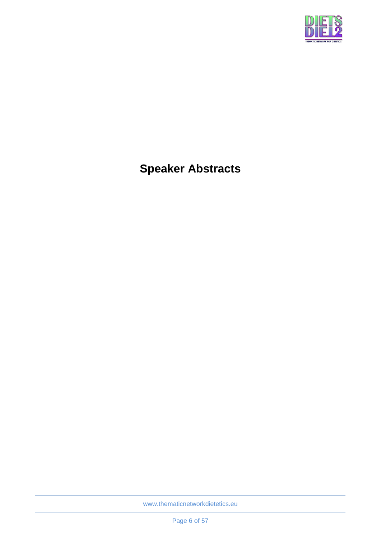

# **Speaker Abstracts**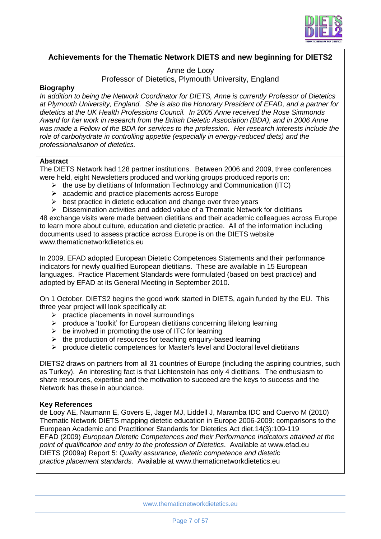

## **Achievements for the Thematic Network DIETS and new beginning for DIETS2**

Anne de Looy Professor of Dietetics, Plymouth University, England

#### **Biography**

*In addition to being the Network Coordinator for DIETS, Anne is currently Professor of Dietetics at Plymouth University, England. She is also the Honorary President of EFAD, and a partner for dietetics at the UK Health Professions Council. In 2005 Anne received the Rose Simmonds Award for her work in research from the British Dietetic Association (BDA), and in 2006 Anne was made a Fellow of the BDA for services to the profession. Her research interests include the role of carbohydrate in controlling appetite (especially in energy-reduced diets) and the professionalisation of dietetics.*

#### **Abstract**

The DIETS Network had 128 partner institutions. Between 2006 and 2009, three conferences were held, eight Newsletters produced and working groups produced reports on:

- $\triangleright$  the use by dietitians of Information Technology and Communication (ITC)
- $\triangleright$  academic and practice placements across Europe
- $\triangleright$  best practice in dietetic education and change over three years
- $\triangleright$  Dissemination activities and added value of a Thematic Network for dietitians

48 exchange visits were made between dietitians and their academic colleagues across Europe to learn more about culture, education and dietetic practice. All of the information including documents used to assess practice across Europe is on the DIETS website [www.thematicnetworkdietetics.eu](http://www.thematicnetworkdietetics.eu/)

In 2009, EFAD adopted European Dietetic Competences Statements and their performance indicators for newly qualified European dietitians. These are available in 15 European languages. Practice Placement Standards were formulated (based on best practice) and adopted by EFAD at its General Meeting in September 2010.

On 1 October, DIETS2 begins the good work started in DIETS, again funded by the EU. This three year project will look specifically at:

- $\triangleright$  practice placements in novel surroundings
- $\triangleright$  produce a 'toolkit' for European dietitians concerning lifelong learning
- $\triangleright$  be involved in promoting the use of ITC for learning
- $\triangleright$  the production of resources for teaching enquiry-based learning
- produce dietetic competences for Master's level and Doctoral level dietitians

DIETS2 draws on partners from all 31 countries of Europe (including the aspiring countries, such as Turkey). An interesting fact is that Lichtenstein has only 4 dietitians. The enthusiasm to share resources, expertise and the motivation to succeed are the keys to success and the Network has these in abundance.

#### **Key References**

de Looy AE, Naumann E, Govers E, Jager MJ, Liddell J, Maramba IDC and Cuervo M (2010) Thematic Network DIETS mapping dietetic education in Europe 2006-2009: comparisons to the European Academic and Practitioner Standards for Dietetics Act diet.14(3):109-119 EFAD (2009) *European Dietetic Competences and their Performance Indicators attained at the point of qualification and entry to the profession of Dietetics*. Available at [www.efad.eu](http://www.efad.eu/) DIETS (2009a) Report 5: *Quality assurance, dietetic competence and dietetic practice placement standards.* Available at [www.thematicnetworkdietetics.eu](http://www.thematicnetworkdietetics.eu/)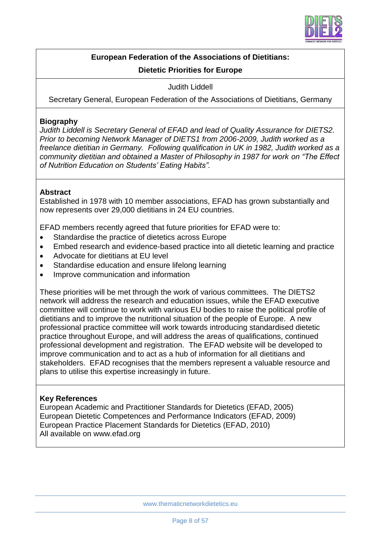

## **European Federation of the Associations of Dietitians: Dietetic Priorities for Europe**

Judith Liddell

Secretary General, European Federation of the Associations of Dietitians, Germany

## **Biography**

*Judith Liddell is Secretary General of EFAD and lead of Quality Assurance for DIETS2. Prior to becoming Network Manager of DIETS1 from 2006-2009, Judith worked as a freelance dietitian in Germany. Following qualification in UK in 1982, Judith worked as a community dietitian and obtained a Master of Philosophy in 1987 for work on "The Effect of Nutrition Education on Students' Eating Habits".*

#### **Abstract**

Established in 1978 with 10 member associations, EFAD has grown substantially and now represents over 29,000 dietitians in 24 EU countries.

EFAD members recently agreed that future priorities for EFAD were to:

- Standardise the practice of dietetics across Europe
- Embed research and evidence-based practice into all dietetic learning and practice
- Advocate for dietitians at EU level
- Standardise education and ensure lifelong learning
- Improve communication and information

These priorities will be met through the work of various committees. The DIETS2 network will address the research and education issues, while the EFAD executive committee will continue to work with various EU bodies to raise the political profile of dietitians and to improve the nutritional situation of the people of Europe. A new professional practice committee will work towards introducing standardised dietetic practice throughout Europe, and will address the areas of qualifications, continued professional development and registration. The EFAD website will be developed to improve communication and to act as a hub of information for all dietitians and stakeholders. EFAD recognises that the members represent a valuable resource and plans to utilise this expertise increasingly in future.

#### **Key References**

European Academic and Practitioner Standards for Dietetics (EFAD, 2005) European Dietetic Competences and Performance Indicators (EFAD, 2009) European Practice Placement Standards for Dietetics (EFAD, 2010) All available on [www.efad.org](http://www.efad.org/)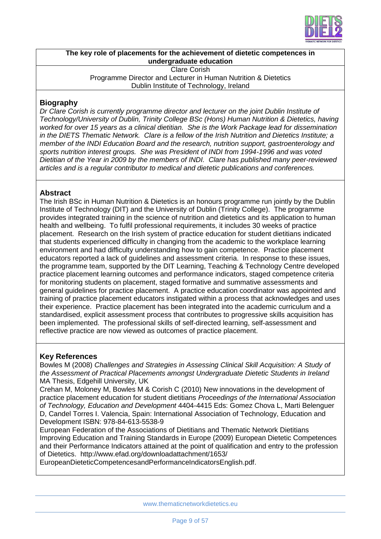

#### **The key role of placements for the achievement of dietetic competences in undergraduate education**

Clare Corish Programme Director and Lecturer in Human Nutrition & Dietetics Dublin Institute of Technology, Ireland

#### **Biography**

*Dr Clare Corish is currently programme director and lecturer on the joint Dublin Institute of Technology/University of Dublin, Trinity College BSc (Hons) Human Nutrition & Dietetics, having worked for over 15 years as a clinical dietitian. She is the Work Package lead for dissemination in the DIETS Thematic Network. Clare is a fellow of the Irish Nutrition and Dietetics Institute; a member of the INDI Education Board and the research, nutrition support, gastroenterology and sports nutrition interest groups. She was President of INDI from 1994-1996 and was voted Dietitian of the Year in 2009 by the members of INDI. Clare has published many peer-reviewed articles and is a regular contributor to medical and dietetic publications and conferences.* 

#### **Abstract**

The Irish BSc in Human Nutrition & Dietetics is an honours programme run jointly by the Dublin Institute of Technology (DIT) and the University of Dublin (Trinity College). The programme provides integrated training in the science of nutrition and dietetics and its application to human health and wellbeing. To fulfil professional requirements, it includes 30 weeks of practice placement. Research on the Irish system of practice education for student dietitians indicated that students experienced difficulty in changing from the academic to the workplace learning environment and had difficulty understanding how to gain competence. Practice placement educators reported a lack of guidelines and assessment criteria. In response to these issues, the programme team, supported by the DIT Learning, Teaching & Technology Centre developed practice placement learning outcomes and performance indicators, staged competence criteria for monitoring students on placement, staged formative and summative assessments and general guidelines for practice placement. A practice education coordinator was appointed and training of practice placement educators instigated within a process that acknowledges and uses their experience. Practice placement has been integrated into the academic curriculum and a standardised, explicit assessment process that contributes to progressive skills acquisition has been implemented. The professional skills of self-directed learning, self-assessment and reflective practice are now viewed as outcomes of practice placement.

#### **Key References**

Bowles M (2008) *Challenges and Strategies in Assessing Clinical Skill Acquisition: A Study of the Assessment of Practical Placements amongst Undergraduate Dietetic Students in Ireland* MA Thesis, Edgehill University, UK

Crehan M, Moloney M, Bowles M & Corish C (2010) New innovations in the development of practice placement education for student dietitians *Proceedings of the International Association of Technology, Education and Development* 4404-4415 Eds: Gomez Chova L, Marti Belenguer D, Candel Torres I. Valencia, Spain: International Association of Technology, Education and Development ISBN: 978-84-613-5538-9

European Federation of the Associations of Dietitians and Thematic Network Dietitians Improving Education and Training Standards in Europe (2009) European Dietetic Competences and their Performance Indicators attained at the point of qualification and entry to the profession of Dietetics. <http://www.efad.org/downloadattachment/1653/>

EuropeanDieteticCompetencesandPerformanceIndicatorsEnglish.pdf.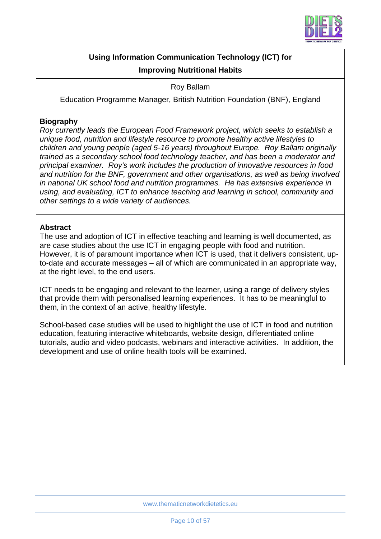

# **Using Information Communication Technology (ICT) for Improving Nutritional Habits**

Roy Ballam

Education Programme Manager, British Nutrition Foundation (BNF), England

## **Biography**

*Roy currently leads the European Food Framework project, which seeks to establish a unique food, nutrition and lifestyle resource to promote healthy active lifestyles to children and young people (aged 5-16 years) throughout Europe. Roy Ballam originally trained as a secondary school food technology teacher, and has been a moderator and principal examiner. Roy's work includes the production of innovative resources in food and nutrition for the BNF, government and other organisations, as well as being involved in national UK school food and nutrition programmes. He has extensive experience in using, and evaluating, ICT to enhance teaching and learning in school, community and other settings to a wide variety of audiences.* 

#### **Abstract**

The use and adoption of ICT in effective teaching and learning is well documented, as are case studies about the use ICT in engaging people with food and nutrition. However, it is of paramount importance when ICT is used, that it delivers consistent, upto-date and accurate messages – all of which are communicated in an appropriate way, at the right level, to the end users.

ICT needs to be engaging and relevant to the learner, using a range of delivery styles that provide them with personalised learning experiences. It has to be meaningful to them, in the context of an active, healthy lifestyle.

School-based case studies will be used to highlight the use of ICT in food and nutrition education, featuring interactive whiteboards, website design, differentiated online tutorials, audio and video podcasts, webinars and interactive activities. In addition, the development and use of online health tools will be examined.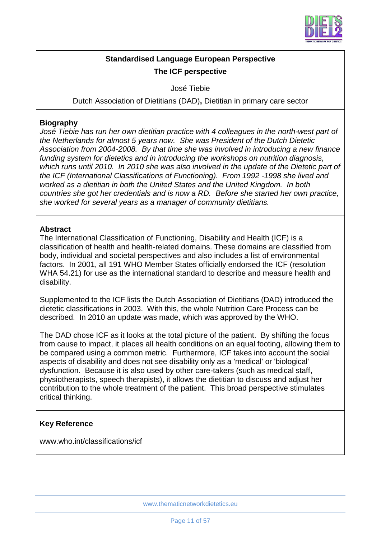

## **Standardised Language European Perspective The ICF perspective**

José Tiebie

Dutch Association of Dietitians (DAD)**,** Dietitian in primary care sector

## **Biography**

*José Tiebie has run her own dietitian practice with 4 colleagues in the north-west part of the Netherlands for almost 5 years now. She was President of the Dutch Dietetic Association from 2004-2008. By that time she was involved in introducing a new finance funding system for dietetics and in introducing the workshops on nutrition diagnosis, which runs until 2010. In 2010 she was also involved in the update of the Dietetic part of the ICF (International Classifications of Functioning). From 1992 -1998 she lived and worked as a dietitian in both the United States and the United Kingdom. In both countries she got her credentials and is now a RD. Before she started her own practice, she worked for several years as a manager of community dietitians.*

#### **Abstract**

The International Classification of Functioning, Disability and Health (ICF) is a classification of health and health-related domains. These domains are classified from body, individual and societal perspectives and also includes a list of environmental factors. In 2001, all 191 WHO Member States officially endorsed the ICF (resolution WHA 54.21) for use as the international standard to describe and measure health and disability.

Supplemented to the ICF lists the Dutch Association of Dietitians (DAD) introduced the dietetic classifications in 2003. With this, the whole Nutrition Care Process can be described. In 2010 an update was made, which was approved by the WHO.

The DAD chose ICF as it looks at the total picture of the patient. By shifting the focus from cause to impact, it places all health conditions on an equal footing, allowing them to be compared using a common metric. Furthermore, ICF takes into account the social aspects of disability and does not see disability only as a 'medical' or 'biological' dysfunction. Because it is also used by other care-takers (such as medical staff, physiotherapists, speech therapists), it allows the dietitian to discuss and adjust her contribution to the whole treatment of the patient. This broad perspective stimulates critical thinking.

## **Key Reference**

[www.who.int/classifications/icf](http://www.who.int/classifications/icf)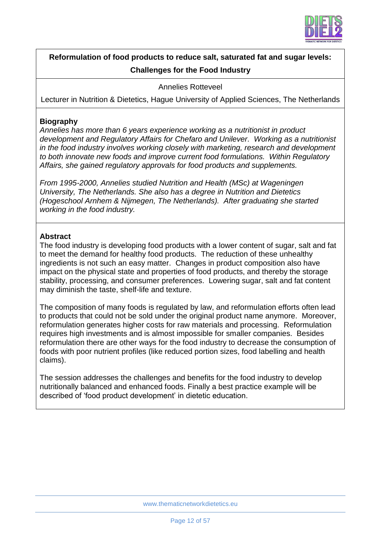

## **Reformulation of food products to reduce salt, saturated fat and sugar levels: Challenges for the Food Industry**

Annelies Rotteveel

Lecturer in Nutrition & Dietetics, Hague University of Applied Sciences, The Netherlands

## **Biography**

*Annelies has more than 6 years experience working as a nutritionist in product development and Regulatory Affairs for Chefaro and Unilever. Working as a nutritionist in the food industry involves working closely with marketing, research and development to both innovate new foods and improve current food formulations. Within Regulatory Affairs, she gained regulatory approvals for food products and supplements.* 

*From 1995-2000, Annelies studied Nutrition and Health (MSc) at Wageningen University, The Netherlands. She also has a degree in Nutrition and Dietetics (Hogeschool Arnhem & Nijmegen, The Netherlands). After graduating she started working in the food industry.*

#### **Abstract**

The food industry is developing food products with a lower content of sugar, salt and fat to meet the demand for healthy food products. The reduction of these unhealthy ingredients is not such an easy matter. Changes in product composition also have impact on the physical state and properties of food products, and thereby the storage stability, processing, and consumer preferences. Lowering sugar, salt and fat content may diminish the taste, shelf-life and texture.

The composition of many foods is regulated by law, and reformulation efforts often lead to products that could not be sold under the original product name anymore. Moreover, reformulation generates higher costs for raw materials and processing. Reformulation requires high investments and is almost impossible for smaller companies. Besides reformulation there are other ways for the food industry to decrease the consumption of foods with poor nutrient profiles (like reduced portion sizes, food labelling and health claims).

The session addresses the challenges and benefits for the food industry to develop nutritionally balanced and enhanced foods. Finally a best practice example will be described of 'food product development' in dietetic education.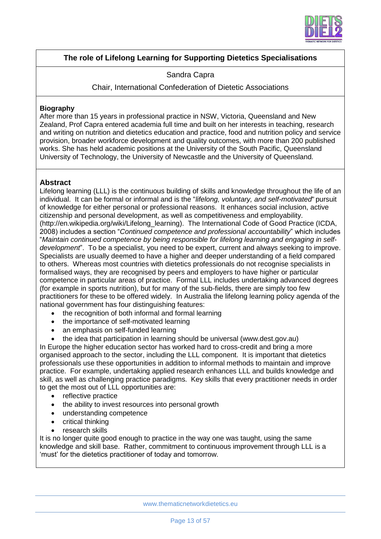

## **The role of Lifelong Learning for Supporting Dietetics Specialisations**

Sandra Capra

Chair, International Confederation of Dietetic Associations

#### **Biography**

After more than 15 years in professional practice in NSW, Victoria, Queensland and New Zealand, Prof Capra entered academia full time and built on her interests in teaching, research and writing on nutrition and dietetics education and practice, food and nutrition policy and service provision, broader workforce development and quality outcomes, with more than 200 published works. She has held academic positions at the University of the South Pacific, Queensland University of Technology, the University of Newcastle and the University of Queensland.

#### **Abstract**

Lifelong learning (LLL) is the continuous building of skills and knowledge throughout the life of an individual. It can be formal or informal and is the "*lifelong, voluntary, and self-motivated*" pursuit of knowledge for either personal or professional reasons. It enhances social inclusion, active citizenship and personal development, as well as competitiveness and employability. [\(http://en.wikipedia.org/wiki/Lifelong\\_learning\)](http://en.wikipedia.org/wiki/Lifelong_learning). The International Code of Good Practice (ICDA, 2008) includes a section "*Continued competence and professional accountability*" which includes "*Maintain continued competence by being responsible for lifelong learning and engaging in selfdevelopment*". To be a specialist, you need to be expert, current and always seeking to improve. Specialists are usually deemed to have a higher and deeper understanding of a field compared to others. Whereas most countries with dietetics professionals do not recognise specialists in formalised ways, they are recognised by peers and employers to have higher or particular competence in particular areas of practice. Formal LLL includes undertaking advanced degrees (for example in sports nutrition), but for many of the sub-fields, there are simply too few practitioners for these to be offered widely. In Australia the lifelong learning policy agenda of the national government has four distinguishing features:

- the recognition of both informal and formal learning
- the importance of self-motivated learning
- an emphasis on self-funded learning
- the idea that participation in learning should be universal [\(www.dest.gov.au\)](http://www.dest.gov.au/)

In Europe the higher education sector has worked hard to cross-credit and bring a more organised approach to the sector, including the LLL component. It is important that dietetics professionals use these opportunities in addition to informal methods to maintain and improve practice. For example, undertaking applied research enhances LLL and builds knowledge and skill, as well as challenging practice paradigms. Key skills that every practitioner needs in order to get the most out of LLL opportunities are:

- reflective practice
- the ability to invest resources into personal growth
- understanding competence
- critical thinking
- research skills

It is no longer quite good enough to practice in the way one was taught, using the same knowledge and skill base. Rather, commitment to continuous improvement through LLL is a 'must' for the dietetics practitioner of today and tomorrow.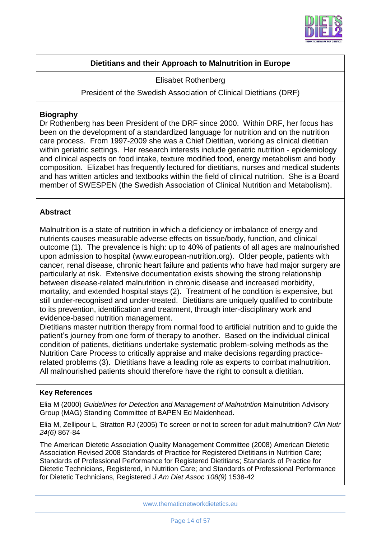

## **Dietitians and their Approach to Malnutrition in Europe**

Elisabet Rothenberg

President of the Swedish Association of Clinical Dietitians (DRF)

## **Biography**

Dr Rothenberg has been President of the DRF since 2000. Within DRF, her focus has been on the development of a standardized language for nutrition and on the nutrition care process. From 1997-2009 she was a Chief Dietitian, working as clinical dietitian within geriatric settings. Her research interests include geriatric nutrition - epidemiology and clinical aspects on food intake, texture modified food, energy metabolism and body composition. Elizabet has frequently lectured for dietitians, nurses and medical students and has written articles and textbooks within the field of clinical nutrition. She is a Board member of SWESPEN (the Swedish Association of Clinical Nutrition and Metabolism).

## **Abstract**

Malnutrition is a state of nutrition in which a deficiency or imbalance of energy and nutrients causes measurable adverse effects on tissue/body, function, and clinical outcome (1). The prevalence is high: up to 40% of patients of all ages are malnourished upon admission to hospital [\(www.european-nutrition.org\)](http://www.european-nutrition.org/). Older people, patients with cancer, renal disease, chronic heart failure and patients who have had major surgery are particularly at risk. Extensive documentation exists showing the strong relationship between disease-related malnutrition in chronic disease and increased morbidity, mortality, and extended hospital stays (2). Treatment of he condition is expensive, but still under-recognised and under-treated. Dietitians are uniquely qualified to contribute to its prevention, identification and treatment, through inter-disciplinary work and evidence-based nutrition management.

Dietitians master nutrition therapy from normal food to artificial nutrition and to guide the patient's journey from one form of therapy to another. Based on the individual clinical condition of patients, dietitians undertake systematic problem-solving methods as the Nutrition Care Process to critically appraise and make decisions regarding practicerelated problems (3). Dietitians have a leading role as experts to combat malnutrition. All malnourished patients should therefore have the right to consult a dietitian.

#### **Key References**

Elia M (2000) *Guidelines for Detection and Management of Malnutrition* Malnutrition Advisory Group (MAG) Standing Committee of BAPEN Ed Maidenhead.

Elia M, Zellipour L, Stratton RJ (2005) To screen or not to screen for adult malnutrition? *Clin Nutr 24(6)* 867-84

The American Dietetic Association Quality Management Committee (2008) American Dietetic Association Revised 2008 Standards of Practice for Registered Dietitians in Nutrition Care; Standards of Professional Performance for Registered Dietitians; Standards of Practice for Dietetic Technicians, Registered, in Nutrition Care; and Standards of Professional Performance for Dietetic Technicians, Registered *J Am Diet Assoc 108(9)* 1538-42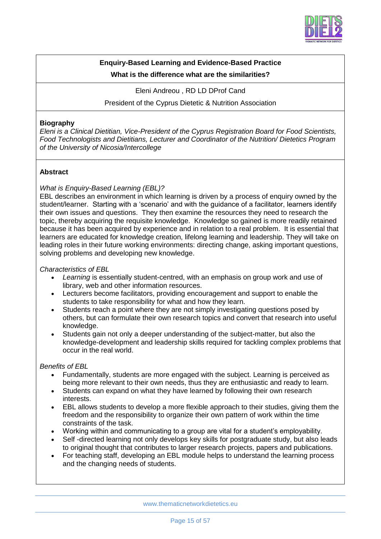

## **Enquiry-Based Learning and Evidence-Based Practice**

**What is the difference what are the similarities?**

Eleni Andreou , RD LD DProf Cand

President of the Cyprus Dietetic & Nutrition Association

#### **Biography**

*Eleni is a Clinical Dietitian, Vice-President of the Cyprus Registration Board for Food Scientists, Food Technologists and Dietitians, Lecturer and Coordinator of the Nutrition/ Dietetics Program of the University of Nicosia/Intercollege*

#### **Abstract**

#### *What is Enquiry-Based Learning (EBL)?*

EBL describes an environment in which learning is driven by a process of enquiry owned by the student/learner. Starting with a 'scenario' and with the guidance of a facilitator, learners identify their own issues and questions. They then examine the resources they need to research the topic, thereby acquiring the requisite knowledge. Knowledge so gained is more readily retained because it has been acquired by experience and in relation to a real problem. It is essential that learners are educated for knowledge creation, lifelong learning and leadership. They will take on leading roles in their future working environments: directing change, asking important questions, solving problems and developing new knowledge.

#### *Characteristics of EBL*

- *Learning* is essentially student-centred, with an emphasis on group work and use of library, web and other information resources.
- Lecturers become facilitators, providing encouragement and support to enable the students to take responsibility for what and how they learn.
- Students reach a point where they are not simply investigating questions posed by others, but can formulate their own research topics and convert that research into useful knowledge.
- Students gain not only a deeper understanding of the subject-matter, but also the knowledge-development and leadership skills required for tackling complex problems that occur in the real world.

#### *Benefits of EBL*

- Fundamentally, students are more engaged with the subject. Learning is perceived as being more relevant to their own needs, thus they are enthusiastic and ready to learn.
- Students can expand on what they have learned by following their own research interests.
- EBL allows students to develop a more flexible approach to their studies, giving them the freedom and the responsibility to organize their own pattern of work within the time constraints of the task.
- Working within and communicating to a group are vital for a student's employability.
- Self -directed learning not only develops key skills for postgraduate study, but also leads to original thought that contributes to larger research projects, papers and publications.
- For teaching staff, developing an EBL module helps to understand the learning process and the changing needs of students.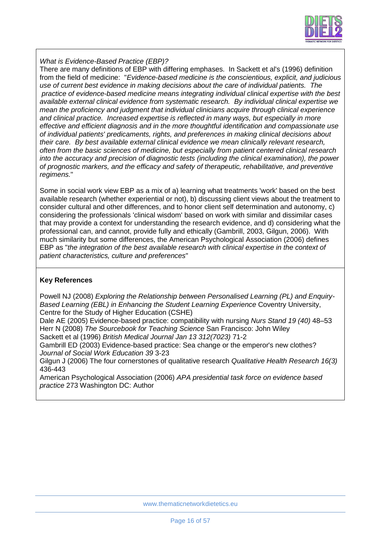

#### *What is Evidence-Based Practice (EBP)?*

There are many definitions of EBP with differing emphases. In Sackett et al's (1996) definition from the field of medicine: "*Evidence-based medicine is the conscientious, explicit, and judicious use of current best evidence in making decisions about the care of individual patients. The practice of evidence-based medicine means integrating individual clinical expertise with the best available external clinical evidence from systematic research. By individual clinical expertise we mean the proficiency and judgment that individual clinicians acquire through clinical experience and clinical practice. Increased expertise is reflected in many ways, but especially in more effective and efficient diagnosis and in the more thoughtful identification and compassionate use of individual patients' predicaments, rights, and preferences in making clinical decisions about their care. By best available external clinical evidence we mean clinically relevant research, often from the basic sciences of medicine, but especially from patient centered clinical research into the accuracy and precision of diagnostic tests (including the clinical examination), the power of prognostic markers, and the efficacy and safety of therapeutic, rehabilitative, and preventive regimens.*"

Some in social work view EBP as a mix of a) learning what treatments 'work' based on the best available research (whether experiential or not), b) discussing client views about the treatment to consider cultural and other differences, and to honor client self determination and autonomy, c) considering the professionals 'clinical wisdom' based on work with similar and dissimilar cases that may provide a context for understanding the research evidence, and d) considering what the professional can, and cannot, provide fully and ethically (Gambrill, 2003, Gilgun, 2006). With much similarity but some differences, the American Psychological Association (2006) defines EBP as "*the integration of the best available research with clinical expertise in the context of patient characteristics, culture and preferences*"

#### **Key References**

Powell NJ (2008) *[Exploring the Relationship between Personalised Learning \(PL\) and Enquiry-](https://curve.coventry.ac.uk/cu/items/0cd84b30-113e-2289-861b-3e01655cfc61/1/ViewItem.jsp)[Based Learning \(EBL\) in Enhancing the Student Learning Experience](https://curve.coventry.ac.uk/cu/items/0cd84b30-113e-2289-861b-3e01655cfc61/1/ViewItem.jsp)* Coventry University, Centre for the Study of Higher Education (CSHE)

Dale AE (2005) Evidence-based practice: compatibility with nursing *Nurs Stand 19 (40)* 48–53 Herr N (2008) *The Sourcebook for Teaching Science* San Francisco: John Wiley

Sackett et al (1996) *British Medical Journal Jan 13 312(7023)* 71-2

Gambrill ED (2003) Evidence-based practice: Sea change or the emperor's new clothes? *Journal of Social Work Education 39* 3-23

Gilgun J (2006) The four cornerstones of qualitative research *Qualitative Health Research 16(3)* 436-443

American Psychological Association (2006) *APA presidential task force on evidence based practice* 273 Washington DC: Author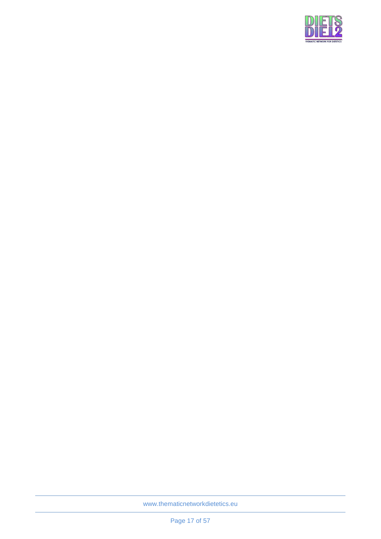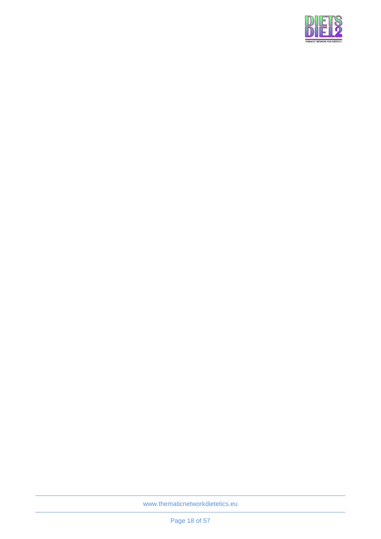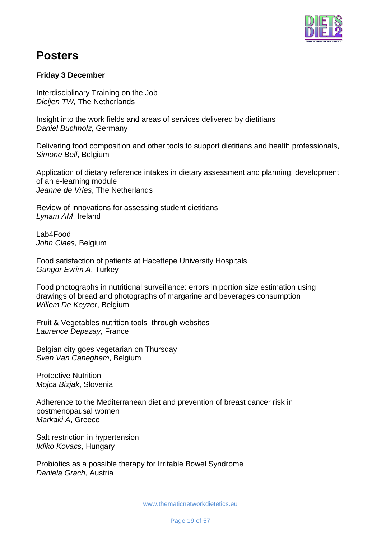

# **Posters**

## **Friday 3 December**

Interdisciplinary Training on the Job *Dieijen TW,* The Netherlands

Insight into the work fields and areas of services delivered by dietitians *Daniel Buchholz*, Germany

Delivering food composition and other tools to support dietitians and health professionals, *Simone Bell*, Belgium

Application of dietary reference intakes in dietary assessment and planning: development of an e-learning module *Jeanne de Vries*, The Netherlands

Review of innovations for assessing student dietitians *Lynam AM*, Ireland

Lab4Food *John Claes,* Belgium

Food satisfaction of patients at Hacettepe University Hospitals *Gungor Evrim A*, Turkey

Food photographs in nutritional surveillance: errors in portion size estimation using drawings of bread and photographs of margarine and beverages consumption *Willem De Keyzer*, Belgium

Fruit & Vegetables nutrition tools through websites *Laurence Depezay,* France

Belgian city goes vegetarian on Thursday *Sven Van Caneghem*, Belgium

Protective Nutrition *Mojca Bizjak*, Slovenia

Adherence to the Mediterranean diet and prevention of breast cancer risk in postmenopausal women *Markaki A*, Greece

Salt restriction in hypertension *Ildiko Kovacs*, Hungary

Probiotics as a possible therapy for Irritable Bowel Syndrome *Daniela Grach,* Austria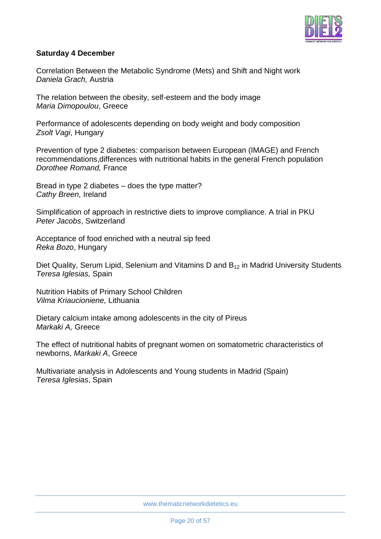

## **Saturday 4 December**

Correlation Between the Metabolic Syndrome (Mets) and Shift and Night work *Daniela Grach,* Austria

The relation between the obesity, self-esteem and the body image *Maria Dimopoulou*, Greece

Performance of adolescents depending on body weight and body composition *Zsolt Vagi*, Hungary

Prevention of type 2 diabetes: comparison between European (IMAGE) and French recommendations,differences with nutritional habits in the general French population *Dorothee Romand,* France

Bread in type 2 diabetes – does the type matter? *Cathy Breen,* Ireland

Simplification of approach in restrictive diets to improve compliance. A trial in PKU *Peter Jacobs*, Switzerland

Acceptance of food enriched with a neutral sip feed *Reka Bozo*, Hungary

Diet Quality, Serum Lipid, Selenium and Vitamins D and  $B_{12}$  in Madrid University Students *Teresa Iglesias,* Spain

Nutrition Habits of Primary School Children *Vilma Kriaucioniene,* Lithuania

Dietary calcium intake among adolescents in the city of Pireus *Markaki A,* Greece

The effect of nutritional habits of pregnant women on somatometric characteristics of newborns, *Markaki A*, Greece

Multivariate analysis in Adolescents and Young students in Madrid (Spain) *Teresa Iglesias*, Spain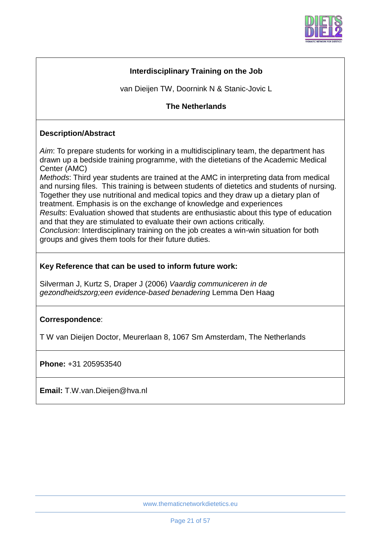

## **Interdisciplinary Training on the Job**

van Dieijen TW, Doornink N & Stanic-Jovic L

## **The Netherlands**

## **Description/Abstract**

*Aim*: To prepare students for working in a multidisciplinary team, the department has drawn up a bedside training programme, with the dietetians of the Academic Medical Center (AMC)

*Methods*: Third year students are trained at the AMC in interpreting data from medical and nursing files. This training is between students of dietetics and students of nursing. Together they use nutritional and medical topics and they draw up a dietary plan of treatment. Emphasis is on the exchange of knowledge and experiences *Results*: Evaluation showed that students are enthusiastic about this type of education and that they are stimulated to evaluate their own actions critically. *Conclusion*: Interdisciplinary training on the job creates a win-win situation for both groups and gives them tools for their future duties.

# **Key Reference that can be used to inform future work:**

Silverman J, Kurtz S, Draper J (2006) *Vaardig communiceren in de gezondheidszorg;een evidence-based benadering* Lemma Den Haag

## **Correspondence**:

T W van Dieijen Doctor, Meurerlaan 8, 1067 Sm Amsterdam, The Netherlands

**Phone:** +31 205953540

**Email:** [T.W.van.Dieijen@hva.nl](mailto:T.W.van.Dieijen@hva.nl)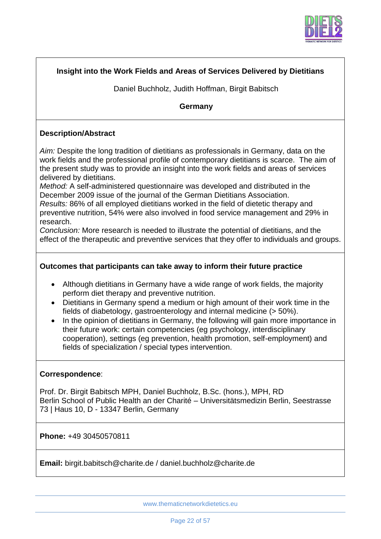

## **Insight into the Work Fields and Areas of Services Delivered by Dietitians**

Daniel Buchholz, Judith Hoffman, Birgit Babitsch

**Germany**

#### **Description/Abstract**

*Aim:* Despite the long tradition of dietitians as professionals in Germany, data on the work fields and the professional profile of contemporary dietitians is scarce. The aim of the present study was to provide an insight into the work fields and areas of services delivered by dietitians.

*Method:* A self-administered questionnaire was developed and distributed in the December 2009 issue of the journal of the German Dietitians Association. *Results:* 86% of all employed dietitians worked in the field of dietetic therapy and

preventive nutrition, 54% were also involved in food service management and 29% in research.

*Conclusion:* More research is needed to illustrate the potential of dietitians, and the effect of the therapeutic and preventive services that they offer to individuals and groups.

#### **Outcomes that participants can take away to inform their future practice**

- Although dietitians in Germany have a wide range of work fields, the majority perform diet therapy and preventive nutrition.
- Dietitians in Germany spend a medium or high amount of their work time in the fields of diabetology, gastroenterology and internal medicine (> 50%).
- In the opinion of dietitians in Germany, the following will gain more importance in their future work: certain competencies (eg psychology, interdisciplinary cooperation), settings (eg prevention, health promotion, self-employment) and fields of specialization / special types intervention.

#### **Correspondence**:

Prof. Dr. Birgit Babitsch MPH, Daniel Buchholz, B.Sc. (hons.), MPH, RD Berlin School of Public Health an der Charité – Universitätsmedizin Berlin, Seestrasse 73 | Haus 10, D - 13347 Berlin, Germany

**Phone:** +49 30450570811

**Email:** birgit.babitsch@charite.de / daniel.buchholz@charite.de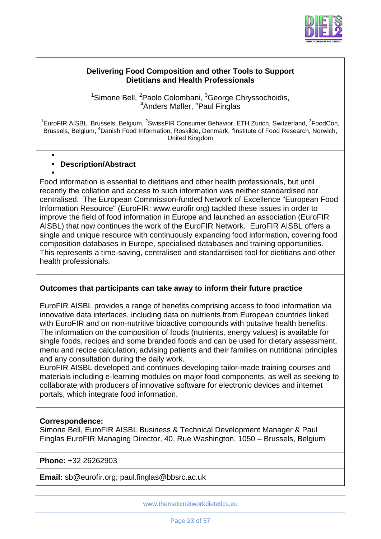

#### **Delivering Food Composition and other Tools to Support Dietitians and Health Professionals**

<sup>1</sup>Simone Bell, <sup>2</sup>Paolo Colombani,  $3$ George Chryssochoidis, <sup>4</sup>Anders Møller, <sup>5</sup>Paul Finglas

<sup>1</sup>EuroFIR AISBL, Brussels, Belgium, <sup>2</sup>SwissFIR Consumer Behavior, ETH Zurich, Switzerland, <sup>3</sup>FoodCon, Brussels, Belgium, <sup>4</sup>Danish Food Information, Roskilde, Denmark, <sup>5</sup>Institute of Food Research, Norwich, United Kingdom

## **Description/Abstract**

 $\bullet$ 

 $\bullet$ Food information is essential to dietitians and other health professionals, but until recently the collation and access to such information was neither standardised nor centralised. The European Commission-funded Network of Excellence "European Food Information Resource" (EuroFIR: www.eurofir.org) tackled these issues in order to improve the field of food information in Europe and launched an association (EuroFIR AISBL) that now continues the work of the EuroFIR Network. EuroFIR AISBL offers a single and unique resource with continuously expanding food information, covering food composition databases in Europe, specialised databases and training opportunities. This represents a time-saving, centralised and standardised tool for dietitians and other health professionals.

#### **Outcomes that participants can take away to inform their future practice**

EuroFIR AISBL provides a range of benefits comprising access to food information via innovative data interfaces, including data on nutrients from European countries linked with EuroFIR and on non-nutritive bioactive compounds with putative health benefits. The information on the composition of foods (nutrients, energy values) is available for single foods, recipes and some branded foods and can be used for dietary assessment, menu and recipe calculation, advising patients and their families on nutritional principles and any consultation during the daily work.

EuroFIR AISBL developed and continues developing tailor-made training courses and materials including e-learning modules on major food components, as well as seeking to collaborate with producers of innovative software for electronic devices and internet portals, which integrate food information.

#### **Correspondence:**

Simone Bell, EuroFIR AISBL Business & Technical Development Manager & Paul Finglas EuroFIR Managing Director, 40, Rue Washington, 1050 – Brussels, Belgium

**Phone:** +32 26262903

**Email:** sb@eurofir.org; paul.finglas@bbsrc.ac.uk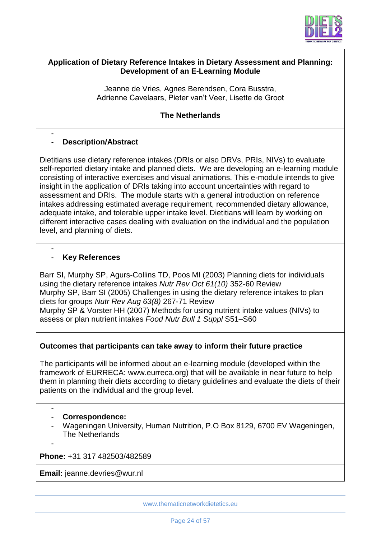

## **Application of Dietary Reference Intakes in Dietary Assessment and Planning: Development of an E-Learning Module**

Jeanne de Vries, Agnes Berendsen, Cora Busstra, Adrienne Cavelaars, Pieter van't Veer, Lisette de Groot

#### **The Netherlands**

#### - - **Description/Abstract**

Dietitians use dietary reference intakes (DRIs or also DRVs, PRIs, NIVs) to evaluate self-reported dietary intake and planned diets. We are developing an e-learning module consisting of interactive exercises and visual animations. This e-module intends to give insight in the application of DRIs taking into account uncertainties with regard to assessment and DRIs. The module starts with a general introduction on reference intakes addressing estimated average requirement, recommended dietary allowance, adequate intake, and tolerable upper intake level. Dietitians will learn by working on different interactive cases dealing with evaluation on the individual and the population level, and planning of diets.

#### - - **Key References**

Barr SI, Murphy SP, Agurs-Collins TD, Poos MI (2003) Planning diets for individuals using the dietary reference intakes *Nutr Rev Oct 61(10)* 352-60 Review Murphy SP, Barr SI (2005) Challenges in using the dietary reference intakes to plan diets for groups *Nutr Rev Aug 63(8)* 267-71 Review Murphy SP & Vorster HH (2007) Methods for using nutrient intake values (NIVs) to assess or plan nutrient intakes *Food Nutr Bull 1 Suppl* S51–S60

#### **Outcomes that participants can take away to inform their future practice**

The participants will be informed about an e-learning module (developed within the framework of EURRECA: [www.eurreca.org\)](http://www.eurreca.org/) that will be available in near future to help them in planning their diets according to dietary guidelines and evaluate the diets of their patients on the individual and the group level.

#### - - **Correspondence:**

- Wageningen University, Human Nutrition, P.O Box 8129, 6700 EV Wageningen, The Netherlands
- -

**Phone:** +31 317 482503/482589

**Email:** jeanne.devries@wur.nl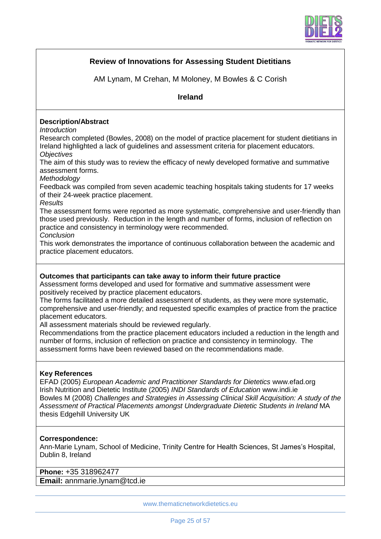

## **Review of Innovations for Assessing Student Dietitians**

AM Lynam, M Crehan, M Moloney, M Bowles & C Corish

**Ireland**

#### **Description/Abstract**

*Introduction*

Research completed (Bowles, 2008) on the model of practice placement for student dietitians in Ireland highlighted a lack of guidelines and assessment criteria for placement educators. *Objectives*

The aim of this study was to review the efficacy of newly developed formative and summative assessment forms.

*Methodology*

Feedback was compiled from seven academic teaching hospitals taking students for 17 weeks of their 24-week practice placement.

*Results*

The assessment forms were reported as more systematic, comprehensive and user-friendly than those used previously. Reduction in the length and number of forms, inclusion of reflection on practice and consistency in terminology were recommended.

*Conclusion*

This work demonstrates the importance of continuous collaboration between the academic and practice placement educators.

#### **Outcomes that participants can take away to inform their future practice**

Assessment forms developed and used for formative and summative assessment were positively received by practice placement educators.

The forms facilitated a more detailed assessment of students, as they were more systematic, comprehensive and user-friendly; and requested specific examples of practice from the practice placement educators.

All assessment materials should be reviewed regularly.

Recommendations from the practice placement educators included a reduction in the length and number of forms, inclusion of reflection on practice and consistency in terminology. The assessment forms have been reviewed based on the recommendations made.

#### **Key References**

EFAD (2005) *European Academic and Practitioner Standards for Dietetics* www.efad.org Irish Nutrition and Dietetic Institute (2005) *INDI Standards of Education* www.indi.ie Bowles M (2008) *Challenges and Strategies in Assessing Clinical Skill Acquisition: A study of the Assessment of Practical Placements amongst Undergraduate Dietetic Students in Ireland* MA thesis Edgehill University UK

#### **Correspondence:**

Ann-Marie Lynam, School of Medicine, Trinity Centre for Health Sciences, St James's Hospital, Dublin 8, Ireland

**Phone:** +35 318962477

**Email:** annmarie.lynam@tcd.ie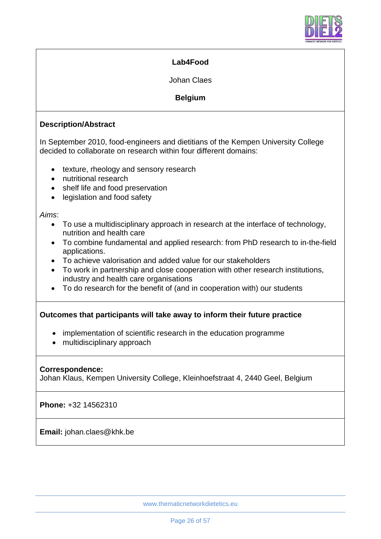

## **Lab4Food**

Johan Claes

## **Belgium**

#### **Description/Abstract**

In September 2010, food-engineers and dietitians of the Kempen University College decided to collaborate on research within four different domains:

- texture, rheology and sensory research
- nutritional research
- shelf life and food preservation
- legislation and food safety

*Aims*:

- To use a multidisciplinary approach in research at the interface of technology, nutrition and health care
- To combine fundamental and applied research: from PhD research to in-the-field applications.
- To achieve valorisation and added value for our stakeholders
- To work in partnership and close cooperation with other research institutions, industry and health care organisations
- To do research for the benefit of (and in cooperation with) our students

#### **Outcomes that participants will take away to inform their future practice**

- implementation of scientific research in the education programme
- multidisciplinary approach

#### **Correspondence:**

Johan Klaus, Kempen University College, Kleinhoefstraat 4, 2440 Geel, Belgium

**Phone:** +32 14562310

**Email:** johan.claes@khk.be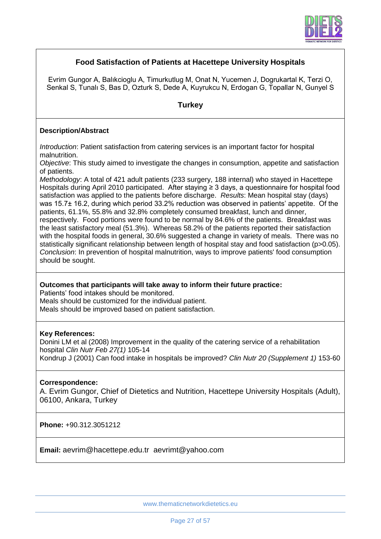

## **Food Satisfaction of Patients at Hacettepe University Hospitals**

Evrim Gungor A, Balıkcioglu A, Timurkutlug M, Onat N, Yucemen J, Dogrukartal K, Terzi O, Senkal S, Tunalı S, Bas D, Ozturk S, Dede A, Kuyrukcu N, Erdogan G, Topallar N, Gunyel S

#### **Turkey**

#### **Description/Abstract**

*Introduction*: Patient satisfaction from catering services is an important factor for hospital malnutrition.

*Objective*: This study aimed to investigate the changes in consumption, appetite and satisfaction of patients.

*Methodology*: A total of 421 adult patients (233 surgery, 188 internal) who stayed in Hacettepe Hospitals during April 2010 participated. After staying ≥ 3 days, a questionnaire for hospital food satisfaction was applied to the patients before discharge. *Results*: Mean hospital stay (days) was 15.7± 16.2, during which period 33.2% reduction was observed in patients' appetite. Of the patients, 61.1%, 55.8% and 32.8% completely consumed breakfast, lunch and dinner, respectively. Food portions were found to be normal by 84.6% of the patients. Breakfast was the least satisfactory meal (51.3%). Whereas 58.2% of the patients reported their satisfaction with the hospital foods in general, 30.6% suggested a change in variety of meals. There was no statistically significant relationship between length of hospital stay and food satisfaction (p>0.05). *Conclusion*: In prevention of hospital malnutrition, ways to improve patients' food consumption should be sought.

#### **Outcomes that participants will take away to inform their future practice:**

Patients' food intakes should be monitored. Meals should be customized for the individual patient. Meals should be improved based on patient satisfaction.

#### **Key References:**

Donini LM et al (2008) Improvement in the quality of the catering service of a rehabilitation hospital *Clin Nutr Feb 27(1)* 105-14 Kondrup J (2001) Can food intake in hospitals be improved? *Clin Nutr 20 (Supplement 1)* 153-60

#### **Correspondence:**

A. Evrim Gungor, Chief of Dietetics and Nutrition, Hacettepe University Hospitals (Adult), 06100, Ankara, Turkey

**Phone:** +90.312.3051212

**Email:** [aevrim@hacettepe.edu.tr](mailto:aevrim@hacettepe.edu.tr) [aevrimt@yahoo.com](mailto:aevrimt@yahoo.com)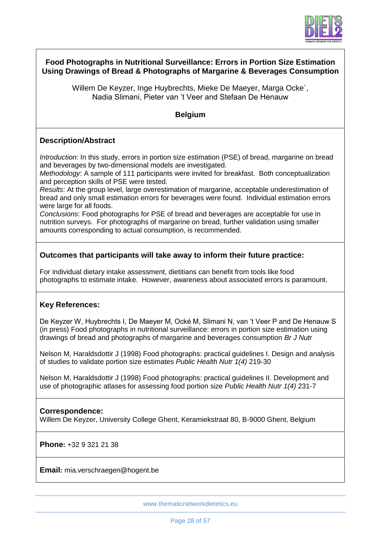

## **Food Photographs in Nutritional Surveillance: Errors in Portion Size Estimation Using Drawings of Bread & Photographs of Margarine & Beverages Consumption**

Willem De Keyzer, Inge Huybrechts, Mieke De Maeyer, Marga Ocke´, Nadia Slimani, Pieter van 't Veer and Stefaan De Henauw

#### **Belgium**

#### **Description/Abstract**

*Introduction*: In this study, errors in portion size estimation (PSE) of bread, margarine on bread and beverages by two-dimensional models are investigated.

*Methodology*: A sample of 111 participants were invited for breakfast. Both conceptualization and perception skills of PSE were tested.

*Results*: At the group level, large overestimation of margarine, acceptable underestimation of bread and only small estimation errors for beverages were found. Individual estimation errors were large for all foods.

*Conclusions*: Food photographs for PSE of bread and beverages are acceptable for use in nutrition surveys. For photographs of margarine on bread, further validation using smaller amounts corresponding to actual consumption, is recommended.

#### **Outcomes that participants will take away to inform their future practice:**

For individual dietary intake assessment, dietitians can benefit from tools like food photographs to estimate intake. However, awareness about associated errors is paramount.

#### **Key References:**

De Keyzer W, Huybrechts I, De Maeyer M, Ocké M, Slimani N, van 't Veer P and De Henauw S (in press) Food photographs in nutritional surveillance: errors in portion size estimation using drawings of bread and photographs of margarine and beverages consumption *Br J Nutr*

Nelson M, Haraldsdottir J (1998) Food photographs: practical guidelines I. Design and analysis of studies to validate portion size estimates *Public Health Nutr 1(4)* 219-30

Nelson M, Haraldsdottir J (1998) Food photographs: practical guidelines II. Development and use of photographic atlases for assessing food portion size *Public Health Nutr 1(4)* 231-7

#### **Correspondence:**

Willem De Keyzer, University College Ghent, Keramiekstraat 80, B-9000 Ghent, Belgium

**Phone:** +32 9 321 21 38

**Email:** [mia.verschraegen@hogent.be](mailto:mia.verschraegen@hogent.be)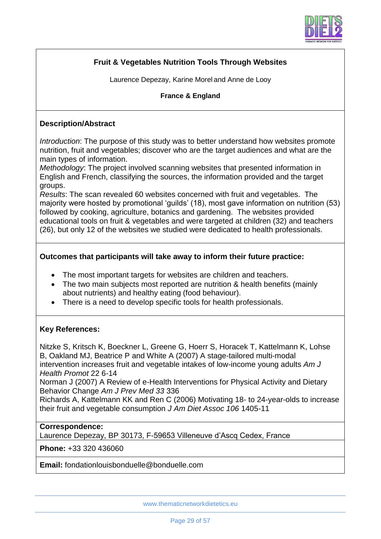

## **Fruit & Vegetables Nutrition Tools Through Websites**

Laurence Depezay, Karine Morel and Anne de Looy

#### **France & England**

#### **Description/Abstract**

*Introduction*: The purpose of this study was to better understand how websites promote nutrition, fruit and vegetables; discover who are the target audiences and what are the main types of information.

*Methodology*: The project involved scanning websites that presented information in English and French, classifying the sources, the information provided and the target groups.

*Results*: The scan revealed 60 websites concerned with fruit and vegetables. The majority were hosted by promotional 'guilds' (18), most gave information on nutrition (53) followed by cooking, agriculture, botanics and gardening. The websites provided educational tools on fruit & vegetables and were targeted at children (32) and teachers (26), but only 12 of the websites we studied were dedicated to health professionals.

#### **Outcomes that participants will take away to inform their future practice:**

- The most important targets for websites are children and teachers.
- The two main subjects most reported are nutrition & health benefits (mainly about nutrients) and healthy eating (food behaviour).
- There is a need to develop specific tools for health professionals.

#### **Key References:**

Nitzke S, [Kritsch K,](http://www.ncbi.nlm.nih.gov/pubmed?term=%2522Kritsch%20K%2522%255BAuthor%255D) [Boeckner L,](http://www.ncbi.nlm.nih.gov/pubmed?term=%2522Boeckner%20L%2522%255BAuthor%255D) [Greene G,](http://www.ncbi.nlm.nih.gov/pubmed?term=%2522Greene%20G%2522%255BAuthor%255D) [Hoerr S,](http://www.ncbi.nlm.nih.gov/pubmed?term=%2522Hoerr%20S%2522%255BAuthor%255D) [Horacek T,](http://www.ncbi.nlm.nih.gov/pubmed?term=%2522Horacek%20T%2522%255BAuthor%255D) [Kattelmann K,](http://www.ncbi.nlm.nih.gov/pubmed?term=%2522Kattelmann%20K%2522%255BAuthor%255D) [Lohse](http://www.ncbi.nlm.nih.gov/pubmed?term=%2522Lohse%20B%2522%255BAuthor%255D)  [B,](http://www.ncbi.nlm.nih.gov/pubmed?term=%2522Lohse%20B%2522%255BAuthor%255D) [Oakland MJ,](http://www.ncbi.nlm.nih.gov/pubmed?term=%2522Oakland%20MJ%2522%255BAuthor%255D) [Beatrice P](http://www.ncbi.nlm.nih.gov/pubmed?term=%2522Beatrice%20P%2522%255BAuthor%255D) and [White A](http://www.ncbi.nlm.nih.gov/pubmed?term=%2522White%20A%2522%255BAuthor%255D) (2007) A stage-tailored multi-modal intervention increases fruit and vegetable intakes of low-income young adults *Am J Health Promot* 22 6-14

Norman J (2007) A Review of e-Health Interventions for Physical Activity and Dietary Behavior Change *Am J Prev Med 33* 336

Richards A, [Kattelmann KK](http://www.ncbi.nlm.nih.gov/pubmed?term=%2522Kattelmann%20KK%2522%255BAuthor%255D) and [Ren C](http://www.ncbi.nlm.nih.gov/pubmed?term=%2522Ren%20C%2522%255BAuthor%255D) (2006) Motivating 18- to 24-year-olds to increase their fruit and vegetable consumption *J Am Diet Assoc 106* 1405-11

#### **Correspondence:**

Laurence Depezay, BP 30173, F-59653 Villeneuve d'Ascq Cedex, France

**Phone:** +33 320 436060

**Email:** fondationlouisbonduelle@bonduelle.com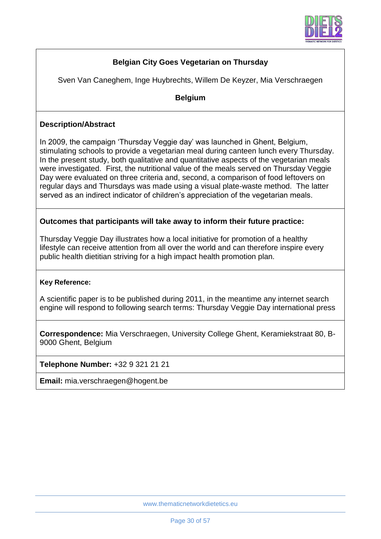

## **Belgian City Goes Vegetarian on Thursday**

Sven Van Caneghem, Inge Huybrechts, Willem De Keyzer, Mia Verschraegen

#### **Belgium**

#### **Description/Abstract**

In 2009, the campaign 'Thursday Veggie day' was launched in Ghent, Belgium, stimulating schools to provide a vegetarian meal during canteen lunch every Thursday. In the present study, both qualitative and quantitative aspects of the vegetarian meals were investigated. First, the nutritional value of the meals served on Thursday Veggie Day were evaluated on three criteria and, second, a comparison of food leftovers on regular days and Thursdays was made using a visual plate-waste method. The latter served as an indirect indicator of children's appreciation of the vegetarian meals.

#### **Outcomes that participants will take away to inform their future practice:**

Thursday Veggie Day illustrates how a local initiative for promotion of a healthy lifestyle can receive attention from all over the world and can therefore inspire every public health dietitian striving for a high impact health promotion plan.

#### **Key Reference:**

A scientific paper is to be published during 2011, in the meantime any internet search engine will respond to following search terms: Thursday Veggie Day international press

**Correspondence:** Mia Verschraegen, University College Ghent, Keramiekstraat 80, B-9000 Ghent, Belgium

**Telephone Number:** +32 9 321 21 21

**Email:** [mia.verschraegen@hogent.be](mailto:mia.verschraegen@hogent.be)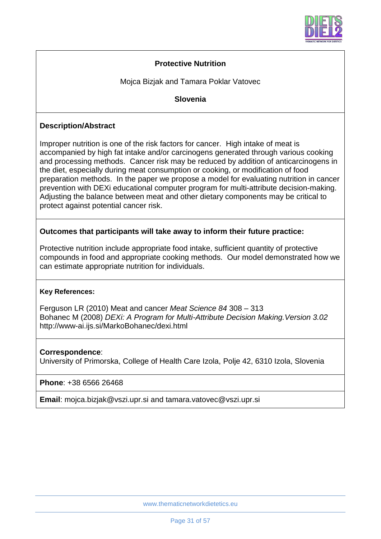

## **Protective Nutrition**

Mojca Bizjak and Tamara Poklar Vatovec

## **Slovenia**

#### **Description/Abstract**

Improper nutrition is one of the risk factors for cancer. High intake of meat is accompanied by high fat intake and/or carcinogens generated through various cooking and processing methods. Cancer risk may be reduced by addition of anticarcinogens in the diet, especially during meat consumption or cooking, or modification of food preparation methods. In the paper we propose a model for evaluating nutrition in cancer prevention with DEXi educational computer program for multi-attribute decision-making. Adjusting the balance between meat and other dietary components may be critical to protect against potential cancer risk.

## **Outcomes that participants will take away to inform their future practice:**

Protective nutrition include appropriate food intake, sufficient quantity of protective compounds in food and appropriate cooking methods. Our model demonstrated how we can estimate appropriate nutrition for individuals.

#### **Key References:**

Ferguson LR (2010) Meat and cancer *Meat Science 84* 308 – 313 Bohanec M (2008) *DEXi: A Program for Multi-Attribute Decision Making.Version 3.02*  http://www-ai.ijs.si/MarkoBohanec/dexi.html

#### **Correspondence**:

University of Primorska, College of Health Care Izola, Polje 42, 6310 Izola, Slovenia

#### **Phone**: +38 6566 26468

**Email**: [mojca.bizjak@vszi.upr.si](mailto:mojca.bizjak@vszi.upr.si) and [tamara.vatovec@vszi.upr.si](mailto:tamara.vatovec@vszi.upr.si)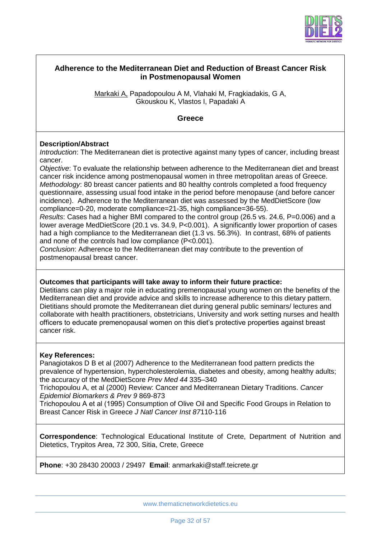

#### **Adherence to the Mediterranean Diet and Reduction of Breast Cancer Risk in Postmenopausal Women**

Markaki A, Papadopoulou A M, Vlahaki M, Fragkiadakis, G A, Gkouskou K, Vlastos I, Papadaki A

**Greece**

#### **2. Description/Abstract**

*Introduction*: The Mediterranean diet is protective against many types of cancer, including breast cancer.

*Objective*: To evaluate the relationship between adherence to the Mediterranean diet and breast cancer risk incidence among postmenopausal women in three metropolitan areas of Greece. *Methodology*: 80 breast cancer patients and 80 healthy controls completed a food frequency questionnaire, assessing usual food intake in the period before menopause (and before cancer incidence). Adherence to the Mediterranean diet was assessed by the MedDietScore (low compliance=0-20, moderate compliance=21-35, high compliance=36-55).

*Results*: Cases had a higher BMI compared to the control group (26.5 vs. 24.6, P=0.006) and a lower average MedDietScore (20.1 vs. 34.9, P<0.001). A significantly lower proportion of cases had a high compliance to the Mediterranean diet (1.3 vs. 56.3%). In contrast, 68% of patients and none of the controls had low compliance (P<0.001).

*Conclusion*: Adherence to the Mediterranean diet may contribute to the prevention of postmenopausal breast cancer.

#### **Outcomes that participants will take away to inform their future practice:**

Dietitians can play a major role in educating premenopausal young women on the benefits of the Mediterranean diet and provide advice and skills to increase adherence to this dietary pattern. Dietitians should promote the Mediterranean diet during general public seminars/ lectures and collaborate with health practitioners, obstetricians, University and work setting nurses and health officers to educate premenopausal women on this diet's protective properties against breast cancer risk.

#### **Key References:**

Panagiotakos D B et al (2007) Adherence to the Mediterranean food pattern predicts the prevalence of hypertension, hypercholesterolemia, diabetes and obesity, among healthy adults; the accuracy of the MedDietScore *Prev Med 44* 335–340

Trichopoulou A, et al (2000) Review: Cancer and Mediterranean Dietary Traditions. *Cancer Epidemiol Biomarkers & Prev 9* 869-873

Trichopoulou Α et al (1995) Consumption of Olive Oil and Specific Food Groups in Relation to Breast Cancer Risk in Greece *J Natl Cancer Inst 87*110-116

**Correspondence**: Technological Educational Institute of Crete, Department of Nutrition and Dietetics, Trypitos Area, 72 300, Sitia, Crete, Greece

**Phone**: +30 28430 20003 / 29497 **Email**: anmarkaki@staff.teicrete.gr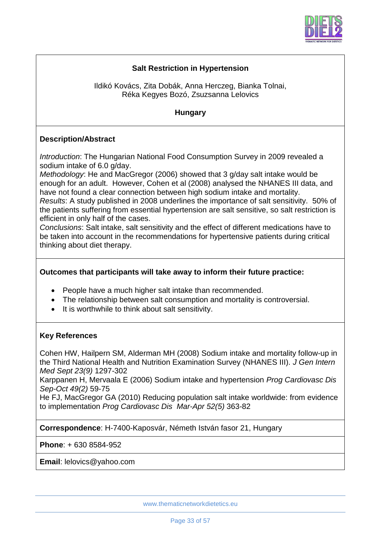

## **Salt Restriction in Hypertension**

Ildikó Kovács, Zita Dobák, Anna Herczeg, Bianka Tolnai, Réka Kegyes Bozó, Zsuzsanna Lelovics

## **Hungary**

## **5. Description/Abstract**

*Introduction*: The Hungarian National Food Consumption Survey in 2009 revealed a sodium intake of 6.0 g/day.

*Methodology*: He and MacGregor (2006) showed that 3 g/day salt intake would be enough for an adult. However, Cohen et al (2008) analysed the NHANES III data, and have not found a clear connection between high sodium intake and mortality.

*Results*: A study published in 2008 underlines the importance of salt sensitivity. 50% of the patients suffering from essential hypertension are salt sensitive, so salt restriction is efficient in only half of the cases.

*Conclusions*: Salt intake, salt sensitivity and the effect of different medications have to be taken into account in the recommendations for hypertensive patients during critical thinking about diet therapy.

#### **Outcomes that participants will take away to inform their future practice:**

- People have a much higher salt intake than recommended.
- The relationship between salt consumption and mortality is controversial.
- It is worthwhile to think about salt sensitivity.

#### **Key References**

Cohen HW, Hailpern SM, Alderman MH (2008) Sodium intake and mortality follow-up in the Third National Health and Nutrition Examination Survey (NHANES III). *J Gen Intern Med Sept 23(9)* 1297-302

Karppanen H, Mervaala E (2006) Sodium intake and hypertension *Prog Cardiovasc Dis Sep-Oct 49(2)* 59-75

He FJ, MacGregor GA (2010) Reducing population salt intake worldwide: from evidence to implementation *Prog Cardiovasc Dis Mar-Apr 52(5)* 363-82

**Correspondence**: H-7400-Kaposvár, Németh István fasor 21, Hungary

**Phone**: + 630 8584-952

**Email**: lelovics@yahoo.com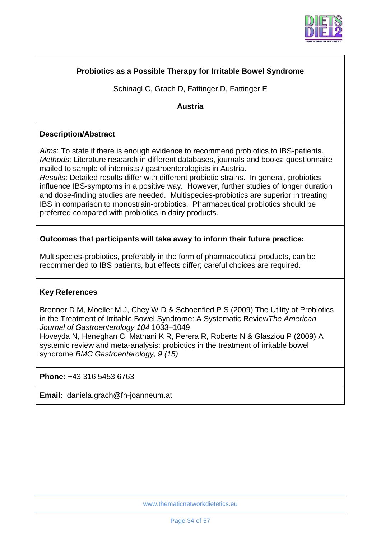

## **Probiotics as a Possible Therapy for Irritable Bowel Syndrome**

Schinagl C, Grach D, Fattinger D, Fattinger E

**Austria**

#### **Description/Abstract**

*Aims*: To state if there is enough evidence to recommend probiotics to IBS-patients. *Methods*: Literature research in different databases, journals and books; questionnaire mailed to sample of internists / gastroenterologists in Austria.

*Results*: Detailed results differ with different probiotic strains. In general, probiotics influence IBS-symptoms in a positive way. However, further studies of longer duration and dose-finding studies are needed. Multispecies-probiotics are superior in treating IBS in comparison to monostrain-probiotics. Pharmaceutical probiotics should be preferred compared with probiotics in dairy products.

#### **Outcomes that participants will take away to inform their future practice:**

Multispecies-probiotics, preferably in the form of pharmaceutical products, can be recommended to IBS patients, but effects differ; careful choices are required.

#### **Key References**

Brenner D M, Moeller M J, Chey W D & Schoenfled P S (2009) The Utility of Probiotics in the Treatment of Irritable Bowel Syndrome: A Systematic Review*The American Journal of Gastroenterology 104* 1033–1049.

Hoveyda N, Heneghan C, Mathani K R, Perera R, Roberts N & Glasziou P (2009) A systemic review and meta-analysis: probiotics in the treatment of irritable bowel syndrome *BMC Gastroenterology, 9 (15)*

**Phone:** +43 316 5453 6763

**Email:** daniela.grach@fh-joanneum.at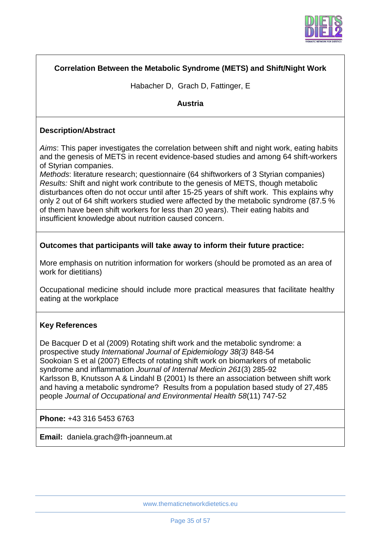

## **Correlation Between the Metabolic Syndrome (METS) and Shift/Night Work**

Habacher D, Grach D, Fattinger, E

#### **Austria**

#### **Description/Abstract**

*Aims*: This paper investigates the correlation between shift and night work, eating habits and the genesis of METS in recent evidence-based studies and among 64 shift-workers of Styrian companies.

*Methods*: literature research; questionnaire (64 shiftworkers of 3 Styrian companies) *Results:* Shift and night work contribute to the genesis of METS, though metabolic disturbances often do not occur until after 15-25 years of shift work. This explains why only 2 out of 64 shift workers studied were affected by the metabolic syndrome (87.5 % of them have been shift workers for less than 20 years). Their eating habits and insufficient knowledge about nutrition caused concern.

#### **Outcomes that participants will take away to inform their future practice:**

More emphasis on nutrition information for workers (should be promoted as an area of work for dietitians)

Occupational medicine should include more practical measures that facilitate healthy eating at the workplace

#### **Key References**

De Bacquer D et al (2009) Rotating shift work and the metabolic syndrome: a prospective study *International Journal of Epidemiology 38(3)* 848-54 Sookoian S et al (2007) Effects of rotating shift work on biomarkers of metabolic syndrome and inflammation *Journal of Internal Medicin 261*(3) 285-92 Karlsson B, Knutsson A & Lindahl B (2001) Is there an association between shift work and having a metabolic syndrome? Results from a population based study of 27,485 people *Journal of Occupational and Environmental Health 58*(11) 747-52

**Phone:** +43 316 5453 6763

**Email:** daniela.grach@fh-joanneum.at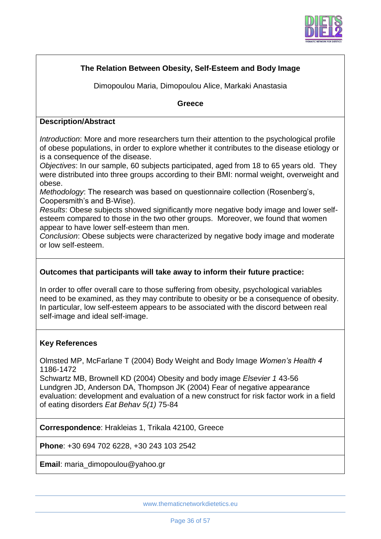

## **The Relation Between Obesity, Self-Esteem and Body Image**

Dimopoulou Maria, Dimopoulou Alice, Markaki Anastasia

**Greece**

#### **8. Description/Abstract**

*Introduction*: More and more researchers turn their attention to the psychological profile of obese populations, in order to explore whether it contributes to the disease etiology or is a consequence of the disease.

*Objectives*: In our sample, 60 subjects participated, aged from 18 to 65 years old. They were distributed into three groups according to their BMI: normal weight, overweight and obese.

*Methodology*: The research was based on questionnaire collection (Rosenberg's, Coopersmith's and B-Wise).

*Results*: Obese subjects showed significantly more negative body image and lower selfesteem compared to those in the two other groups. Moreover, we found that women appear to have lower self-esteem than men.

*Conclusion*: Obese subjects were characterized by negative body image and moderate or low self-esteem.

#### **Outcomes that participants will take away to inform their future practice:**

In order to offer overall care to those suffering from obesity, psychological variables need to be examined, as they may contribute to obesity or be a consequence of obesity. In particular, low self-esteem appears to be associated with the discord between real self-image and ideal self-image.

#### **Key References**

Olmsted MP, McFarlane T (2004) Body Weight and Body Image *Women's Health 4* 1186-1472

Schwartz MB, Brownell KD (2004) Obesity and body image *Elsevier 1* 43-56 Lundgren JD, Anderson DA, Thompson JK (2004) Fear of negative appearance evaluation: development and evaluation of a new construct for risk factor work in a field of eating disorders *Eat Behav 5(1)* 75-84

**Correspondence**: Hrakleias 1, Trikala 42100, Greece

**Phone**: +30 694 702 6228, +30 243 103 2542

**Email**: maria\_dimopoulou@yahoo.gr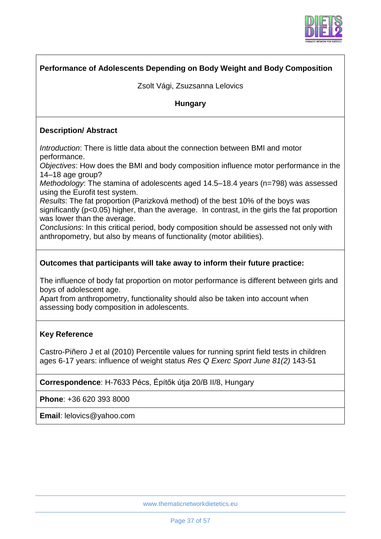

## **Performance of Adolescents Depending on Body Weight and Body Composition**

## Zsolt Vági, Zsuzsanna Lelovics

#### **Hungary**

#### **Description/ Abstract**

*Introduction*: There is little data about the connection between BMI and motor performance.

*Objectives*: How does the BMI and body composition influence motor performance in the 14–18 age group?

*Methodology*: The stamina of adolescents aged 14.5–18.4 years (n=798) was assessed using the Eurofit test system.

*Results*: The fat proportion (Parizková method) of the best 10% of the boys was significantly (p<0.05) higher, than the average. In contrast, in the girls the fat proportion was lower than the average.

*Conclusions*: In this critical period, body composition should be assessed not only with anthropometry, but also by means of functionality (motor abilities).

#### **Outcomes that participants will take away to inform their future practice:**

The influence of body fat proportion on motor performance is different between girls and boys of adolescent age.

Apart from anthropometry, functionality should also be taken into account when assessing body composition in adolescents.

## **Key Reference**

Castro-Piñero J et al (2010) Percentile values for running sprint field tests in children ages 6-17 years: influence of weight status *Res Q Exerc Sport June 81(2)* 143-51

**Correspondence**: H-7633 Pécs, Építők útja 20/B II/8, Hungary

**Phone**: +36 620 393 8000

**Email**: lelovics@yahoo.com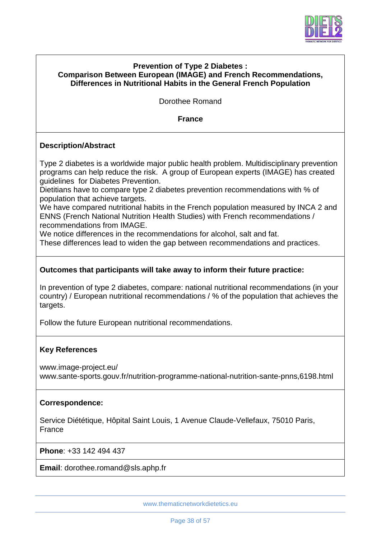

#### **Prevention of Type 2 Diabetes : Comparison Between European (IMAGE) and French Recommendations, Differences in Nutritional Habits in the General French Population**

Dorothee Romand

**France**

## **Description/Abstract**

Type 2 diabetes is a worldwide major public health problem. Multidisciplinary prevention programs can help reduce the risk. A group of European experts (IMAGE) has created guidelines for Diabetes Prevention.

Dietitians have to compare type 2 diabetes prevention recommendations with % of population that achieve targets.

We have compared nutritional habits in the French population measured by INCA 2 and ENNS (French National Nutrition Health Studies) with French recommendations / recommendations from IMAGE.

We notice differences in the recommendations for alcohol, salt and fat.

These differences lead to widen the gap between recommendations and practices.

#### **Outcomes that participants will take away to inform their future practice:**

In prevention of type 2 diabetes, compare: national nutritional recommendations (in your country) / European nutritional recommendations / % of the population that achieves the targets.

Follow the future European nutritional recommendations.

#### **Key References**

www.image-project.eu/ www.sante-sports.gouv.fr/nutrition-programme-national-nutrition-sante-pnns,6198.html

#### **Correspondence:**

Service Diététique, Hôpital Saint Louis, 1 Avenue Claude-Vellefaux, 75010 Paris, France

**Phone**: +33 142 494 437

**Email**: dorothee.romand@sls.aphp.fr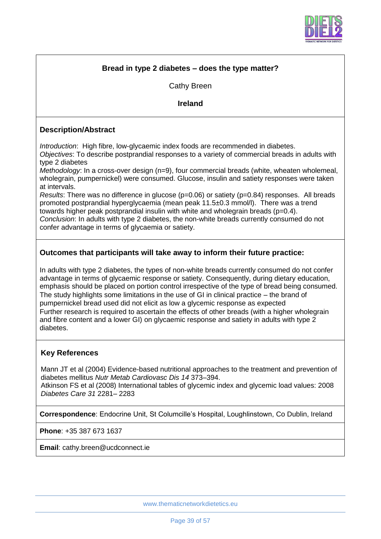

## **Bread in type 2 diabetes – does the type matter?**

Cathy Breen

**Ireland**

#### **Description/Abstract**

*Introduction*: High fibre, low-glycaemic index foods are recommended in diabetes.

*Objectives*: To describe postprandial responses to a variety of commercial breads in adults with type 2 diabetes

*Methodology*: In a cross-over design (n=9), four commercial breads (white, wheaten wholemeal, wholegrain, pumpernickel) were consumed. Glucose, insulin and satiety responses were taken at intervals.

*Results*: There was no difference in glucose (p=0.06) or satiety (p=0.84) responses. All breads promoted postprandial hyperglycaemia (mean peak 11.5±0.3 mmol/l). There was a trend towards higher peak postprandial insulin with white and wholegrain breads (p=0.4). *Conclusion*: In adults with type 2 diabetes, the non-white breads currently consumed do not confer advantage in terms of glycaemia or satiety.

#### **Outcomes that participants will take away to inform their future practice:**

 In adults with type 2 diabetes, the types of non-white breads currently consumed do not confer advantage in terms of glycaemic response or satiety. Consequently, during dietary education, emphasis should be placed on portion control irrespective of the type of bread being consumed. The study highlights some limitations in the use of GI in clinical practice – the brand of pumpernickel bread used did not elicit as low a glycemic response as expected Further research is required to ascertain the effects of other breads (with a higher wholegrain and fibre content and a lower GI) on glycaemic response and satiety in adults with type 2 diabetes.

#### **Key References**

Mann JT et al (2004) Evidence-based nutritional approaches to the treatment and prevention of diabetes mellitus *Nutr Metab Cardiovasc Dis 14* 373–394. Atkinson FS et al (2008) International tables of glycemic index and glycemic load values: 2008 *Diabetes Care 31* 2281– 2283

**Correspondence**: Endocrine Unit, St Columcille's Hospital, Loughlinstown, Co Dublin, Ireland

**Phone**: +35 387 673 1637

**Email**: cathy.breen@ucdconnect.ie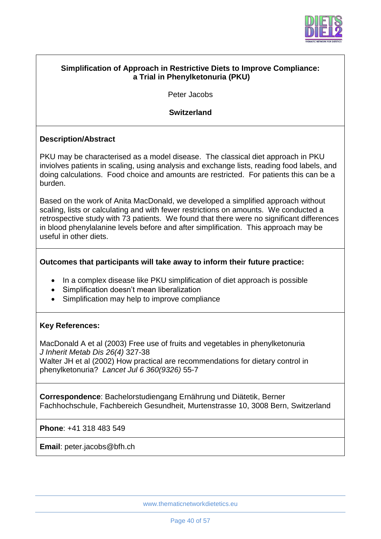

## **Simplification of Approach in Restrictive Diets to Improve Compliance: a Trial in Phenylketonuria (PKU)**

Peter Jacobs

## **Switzerland**

## **Description/Abstract**

PKU may be characterised as a model disease. The classical diet approach in PKU inviolves patients in scaling, using analysis and exchange lists, reading food labels, and doing calculations. Food choice and amounts are restricted. For patients this can be a burden.

Based on the work of Anita MacDonald, we developed a simplified approach without scaling, lists or calculating and with fewer restrictions on amounts. We conducted a retrospective study with 73 patients. We found that there were no significant differences in blood phenylalanine levels before and after simplification. This approach may be useful in other diets.

#### **Outcomes that participants will take away to inform their future practice:**

- In a complex disease like PKU simplification of diet approach is possible
- Simplification doesn't mean liberalization
- Simplification may help to improve compliance

#### **Key References:**

MacDonald A et al (2003) Free use of fruits and vegetables in phenylketonuria *J Inherit Metab Dis 26(4)* 327-38 Walter JH et al (2002) [How practical are recommendations for dietary control in](http://www.ncbi.nlm.nih.gov/pubmed/12114043)  [phenylketonuria?](http://www.ncbi.nlm.nih.gov/pubmed/12114043) *Lancet Jul 6 360(9326)* 55-7

**Correspondence**: Bachelorstudiengang Ernährung und Diätetik, Berner Fachhochschule, Fachbereich Gesundheit, Murtenstrasse 10, 3008 Bern, Switzerland

**Phone**: +41 318 483 549

**Email**: [peter.jacobs@bfh.ch](mailto:peter.jacobs@bfh.ch)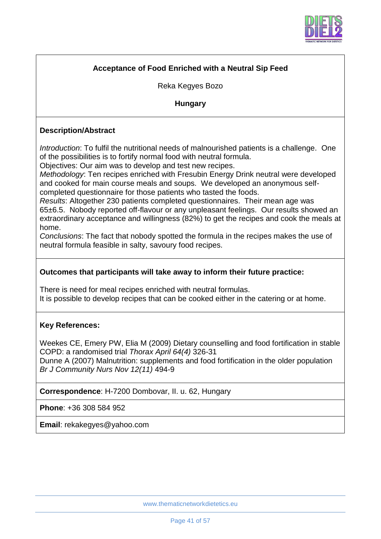

## **Acceptance of Food Enriched with a Neutral Sip Feed**

Reka Kegyes Bozo

**Hungary**

#### **Description/Abstract**

*Introduction*: To fulfil the nutritional needs of malnourished patients is a challenge. One of the possibilities is to fortify normal food with neutral formula.

Objectives: Our aim was to develop and test new recipes.

*Methodology*: Ten recipes enriched with Fresubin Energy Drink neutral were developed and cooked for main course meals and soups. We developed an anonymous selfcompleted questionnaire for those patients who tasted the foods.

*Results*: Altogether 230 patients completed questionnaires. Their mean age was 65±6.5. Nobody reported off-flavour or any unpleasant feelings. Our results showed an extraordinary acceptance and willingness (82%) to get the recipes and cook the meals at home.

*Conclusions*: The fact that nobody spotted the formula in the recipes makes the use of neutral formula feasible in salty, savoury food recipes.

#### **Outcomes that participants will take away to inform their future practice:**

There is need for meal recipes enriched with neutral formulas. It is possible to develop recipes that can be cooked either in the catering or at home.

#### **Key References:**

Weekes CE, Emery PW, Elia M (2009) Dietary counselling and food fortification in stable COPD: a randomised trial *Thorax April 64(4)* 326-31 Dunne A (2007) Malnutrition: supplements and food fortification in the older population *Br J Community Nurs Nov 12(11)* 494-9

**Correspondence**: H-7200 Dombovar, II. u. 62, Hungary

**Phone**: +36 308 584 952

**Email**: rekakegyes@yahoo.com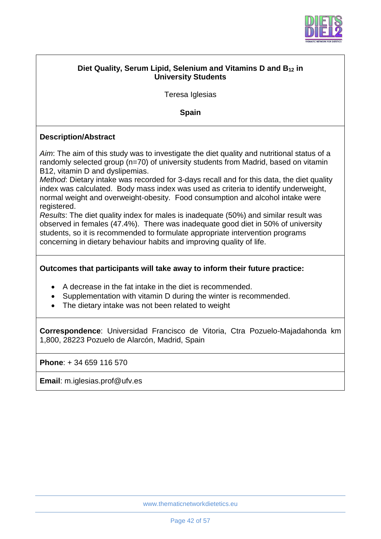

## **Diet Quality, Serum Lipid, Selenium and Vitamins D and B<sup>12</sup> in University Students**

Teresa Iglesias

**Spain**

## **Description/Abstract**

*Aim*: The aim of this study was to investigate the diet quality and nutritional status of a randomly selected group (n=70) of university students from Madrid, based on vitamin B12, vitamin D and dyslipemias.

*Method*: Dietary intake was recorded for 3-days recall and for this data, the diet quality index was calculated. Body mass index was used as criteria to identify underweight, normal weight and overweight-obesity. Food consumption and alcohol intake were registered.

*Results*: The diet quality index for males is inadequate (50%) and similar result was observed in females (47.4%). There was inadequate good diet in 50% of university students, so it is recommended to formulate appropriate intervention programs concerning in dietary behaviour habits and improving quality of life.

#### **Outcomes that participants will take away to inform their future practice:**

- A decrease in the fat intake in the diet is recommended.
- Supplementation with vitamin D during the winter is recommended.
- The dietary intake was not been related to weight

**Correspondence**: Universidad Francisco de Vitoria, Ctra Pozuelo-Majadahonda km 1,800, 28223 Pozuelo de Alarcón, Madrid, Spain

**Phone**: + 34 659 116 570

**Email**: m.iglesias.prof@ufv.es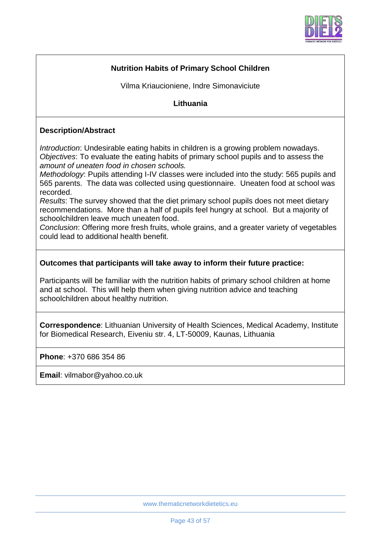

## **Nutrition Habits of Primary School Children**

Vilma Kriaucioniene, Indre Simonaviciute

#### **Lithuania**

## **Description/Abstract**

*Introduction*: Undesirable eating habits in children is a growing problem nowadays. *Objectives*: To evaluate the eating habits of primary school pupils and to assess the *amount of uneaten food in chosen schools.*

*Methodology*: Pupils attending I-IV classes were included into the study: 565 pupils and 565 parents. The data was collected using questionnaire. Uneaten food at school was recorded.

*Results*: The survey showed that the diet primary school pupils does not meet dietary recommendations. More than a half of pupils feel hungry at school. But a majority of schoolchildren leave much uneaten food.

*Conclusion*: Offering more fresh fruits, whole grains, and a greater variety of vegetables could lead to additional health benefit.

#### **Outcomes that participants will take away to inform their future practice:**

Participants will be familiar with the nutrition habits of primary school children at home and at school. This will help them when giving nutrition advice and teaching schoolchildren about healthy nutrition.

**Correspondence**: Lithuanian University of Health Sciences, Medical Academy, Institute for Biomedical Research, Eiveniu str. 4, LT-50009, Kaunas, Lithuania

**Phone**: +370 686 354 86

**Email**: vilmabor@yahoo.co.uk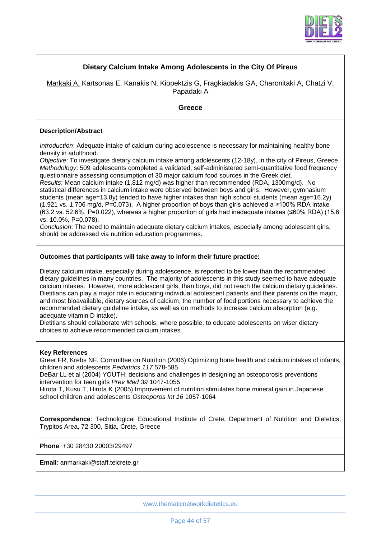

#### **Dietary Calcium Intake Among Adolescents in the City Of Pireus**

Markaki A, Kartsonas E, Kanakis N, Kiopektzis G, Fragkiadakis GA, Charonitaki A, Chatzi V, Papadaki A

**Greece**

#### **Description/Abstract**

*Introduction*: Adequate intake of calcium during adolescence is necessary for maintaining healthy bone density in adulthood.

*Objective*: To investigate dietary calcium intake among adolescents (12-18y), in the city of Pireus, Greece. *Methodology*: 509 adolescents completed a validated, self-administered semi-quantitative food frequency questionnaire assessing consumption of 30 major calcium food sources in the Greek diet.

*Results*: Mean calcium intake (1,812 mg/d) was higher than recommended (RDA, 1300mg/d). No statistical differences in calcium intake were observed between boys and girls. However, gymnasium students (mean age=13.8y) tended to have higher intakes than high school students (mean age=16.2y) (1,921 vs. 1,706 mg/d, P=0.073). A higher proportion of boys than girls achieved a ≥100% RDA intake (63.2 vs. 52.6%, P=0.022), whereas a higher proportion of girls had inadequate intakes (≤60% RDA) (15.6 vs. 10.0%, P=0.078).

*Conclusion*: The need to maintain adequate dietary calcium intakes, especially among adolescent girls, should be addressed via nutrition education programmes.

#### **Outcomes that participants will take away to inform their future practice:**

Dietary calcium intake, especially during adolescence, is reported to be lower than the recommended dietary guidelines in many countries. The majority of adolescents in this study seemed to have adequate calcium intakes. However, more adolescent girls, than boys, did not reach the calcium dietary guidelines. Dietitians can play a major role in educating individual adolescent patients and their parents on the major, and most bioavailable, dietary sources of calcium, the number of food portions necessary to achieve the recommended dietary guideline intake, as well as on methods to increase calcium absorption (e.g. adequate vitamin D intake).

Dietitians should collaborate with schools, where possible, to educate adolescents on wiser dietary choices to achieve recommended calcium intakes.

#### **Key References**

Greer FR, Krebs NF, Committee on Nutrition (2006) Optimizing bone health and calcium intakes of infants, children and adolescents *Pediatrics 117* 578-585

DeBar LL et al (2004) YOUTH: decisions and challenges in designing an osteoporosis preventions intervention for teen girls *Prev Med 39* 1047-1055

Hirota T, Kusu T, Hirota K (2005) Improvement of nutrition stimulates bone mineral gain in Japanese school children and adolescents *Osteoporos Int 16* 1057-1064

**Correspondence**: Technological Educational Institute of Crete, Department of Nutrition and Dietetics, Trypitos Area, 72 300, Sitia, Crete, Greece

**Phone**: +30 28430 20003/29497

**Email**: anmarkaki@staff.teicrete.gr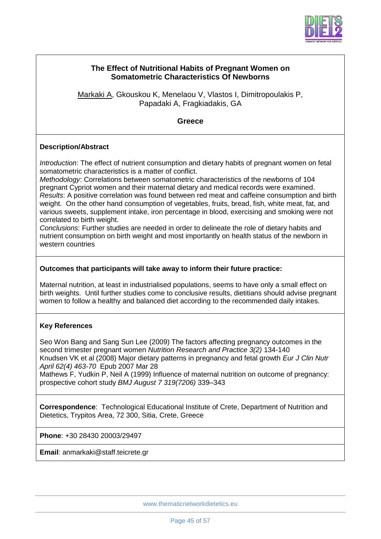

## **The Effect of Nutritional Habits of Pregnant Women on Somatometric Characteristics Of Newborns**

Markaki A, Gkouskou K, Menelaou V, Vlastos I, Dimitropoulakis P, Papadaki A, Fragkiadakis, GA

**Greece**

#### **Description/Abstract**

*Introduction*: The effect of nutrient consumption and dietary habits of pregnant women on fetal somatometric characteristics is a matter of conflict.

*Methodology*: Correlations between somatometric characteristics of the newborns of 104 pregnant Cypriot women and their maternal dietary and medical records were examined. *Results*: A positive correlation was found between red meat and caffeine consumption and birth weight. On the other hand consumption of vegetables, fruits, bread, fish, white meat, fat, and various sweets, supplement intake, iron percentage in blood, exercising and smoking were not correlated to birth weight.

*Conclusions*: Further studies are needed in order to delineate the role of dietary habits and nutrient consumption on birth weight and most importantly on health status of the newborn in western countries

#### **Outcomes that participants will take away to inform their future practice:**

Maternal nutrition, at least in industrialised populations, seems to have only a small effect on birth weights. Until further studies come to conclusive results, dietitians should advise pregnant women to follow a healthy and balanced diet according to the recommended daily intakes.

#### **Key References**

Seo Won Bang and Sang Sun Lee (2009) The factors affecting pregnancy outcomes in the second trimester pregnant women *Nutrition Research and Practice 3(2)* 134-140 Knudsen VK et al (2008) Major dietary patterns in pregnancy and fetal growth *Eur J Clin Nutr April 62(4) 463-70* Epub 2007 Mar 28

Mathews F, Yudkin P, Neil A (1999) Influence of maternal nutrition on outcome of pregnancy: prospective cohort study *BMJ August 7 319(7206)* 339–343

**Correspondence**: Technological Educational Institute of Crete, Department of Nutrition and Dietetics, Trypitos Area, 72 300, Sitia, Crete, Greece

**Phone**: +30 28430 20003/29497

**Email**: anmarkaki@staff.teicrete.gr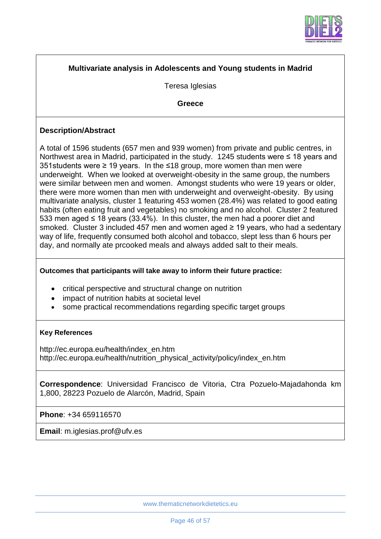

## **Multivariate analysis in Adolescents and Young students in Madrid**

Teresa Iglesias

**Greece**

## **Description/Abstract**

A total of 1596 students (657 men and 939 women) from private and public centres, in Northwest area in Madrid, participated in the study. 1245 students were ≤ 18 years and 351 students were  $\geq$  19 years. In the  $\leq$ 18 group, more women than men were underweight. When we looked at overweight-obesity in the same group, the numbers were similar between men and women. Amongst students who were 19 years or older, there were more women than men with underweight and overweight-obesity. By using multivariate analysis, cluster 1 featuring 453 women (28.4%) was related to good eating habits (often eating fruit and vegetables) no smoking and no alcohol. Cluster 2 featured 533 men aged ≤ 18 years (33.4%). In this cluster, the men had a poorer diet and smoked. Cluster 3 included 457 men and women aged  $\geq$  19 years, who had a sedentary way of life, frequently consumed both alcohol and tobacco, slept less than 6 hours per day, and normally ate prcooked meals and always added salt to their meals.

#### **Outcomes that participants will take away to inform their future practice:**

- critical perspective and structural change on nutrition
- impact of nutrition habits at societal level
- some practical recommendations regarding specific target groups

#### **Key References**

http://ec.europa.eu/health/index\_en.htm http://ec.europa.eu/health/nutrition\_physical\_activity/policy/index\_en.htm

**Correspondence**: Universidad Francisco de Vitoria, Ctra Pozuelo-Majadahonda km 1,800, 28223 Pozuelo de Alarcón, Madrid, Spain

**Phone**: +34 659116570

**Email**: m.iglesias.prof@ufv.es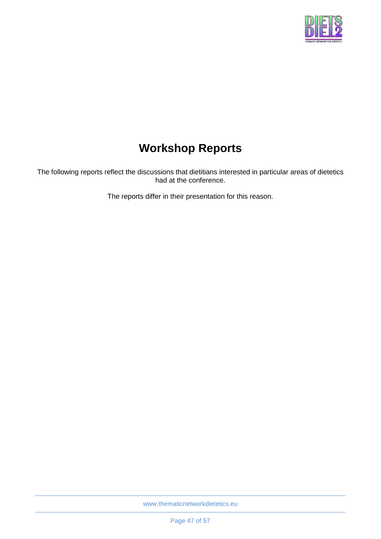

# **Workshop Reports**

The following reports reflect the discussions that dietitians interested in particular areas of dietetics had at the conference.

The reports differ in their presentation for this reason.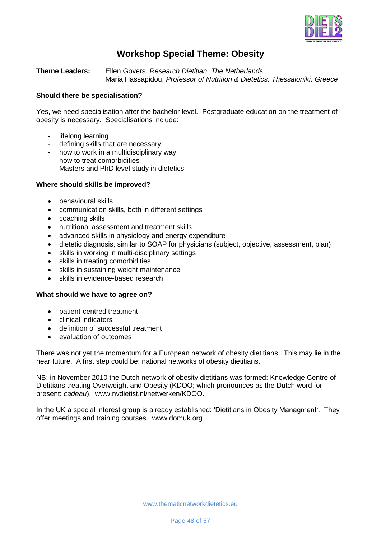

# **Workshop Special Theme: Obesity**

**Theme Leaders:** Ellen Govers, *Research Dietitian, The Netherlands* Maria Hassapidou, *Professor of Nutrition & Dietetics, Thessaloniki, Greece*

#### **Should there be specialisation?**

Yes, we need specialisation after the bachelor level. Postgraduate education on the treatment of obesity is necessary. Specialisations include:

- lifelong learning
- defining skills that are necessary
- how to work in a multidisciplinary way
- how to treat comorbidities
- Masters and PhD level study in dietetics

#### **Where should skills be improved?**

- behavioural skills
- communication skills, both in different settings
- coaching skills
- nutritional assessment and treatment skills
- advanced skills in physiology and energy expenditure
- dietetic diagnosis, similar to SOAP for physicians (subject, objective, assessment, plan)
- skills in working in multi-disciplinary settings
- skills in treating comorbidities
- skills in sustaining weight maintenance
- skills in evidence-based research

## **What should we have to agree on?**

- patient-centred treatment
- **clinical indicators**
- definition of successful treatment
- evaluation of outcomes

There was not yet the momentum for a European network of obesity dietitians. This may lie in the near future. A first step could be: national networks of obesity dietitians.

NB: in November 2010 the Dutch network of obesity dietitians was formed: Knowledge Centre of Dietitians treating Overweight and Obesity (KDOO; which pronounces as the Dutch word for present: *cadeau*). [www.nvdietist.nl/netwerken/KDOO.](http://www.nvdietist.nl/netwerken/KDOO)

In the UK a special interest group is already established: 'Dietitians in Obesity Managment'. They offer meetings and training courses. [www.domuk.org](http://www.domuk.org/)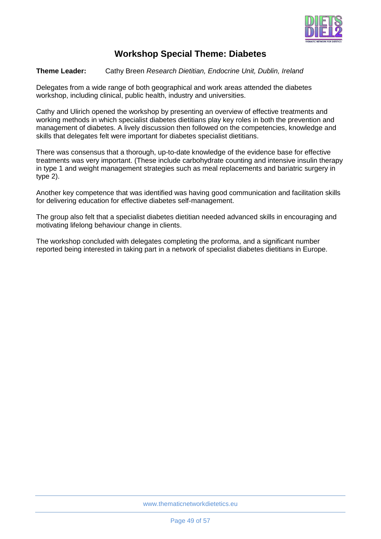

# **Workshop Special Theme: Diabetes**

#### **Theme Leader:** Cathy Breen *Research Dietitian, Endocrine Unit, Dublin, Ireland*

Delegates from a wide range of both geographical and work areas attended the diabetes workshop, including clinical, public health, industry and universities.

Cathy and Ulirich opened the workshop by presenting an overview of effective treatments and working methods in which specialist diabetes dietitians play key roles in both the prevention and management of diabetes. A lively discussion then followed on the competencies, knowledge and skills that delegates felt were important for diabetes specialist dietitians.

There was consensus that a thorough, up-to-date knowledge of the evidence base for effective treatments was very important. (These include carbohydrate counting and intensive insulin therapy in type 1 and weight management strategies such as meal replacements and bariatric surgery in type 2).

Another key competence that was identified was having good communication and facilitation skills for delivering education for effective diabetes self-management.

The group also felt that a specialist diabetes dietitian needed advanced skills in encouraging and motivating lifelong behaviour change in clients.

The workshop concluded with delegates completing the proforma, and a significant number reported being interested in taking part in a network of specialist diabetes dietitians in Europe.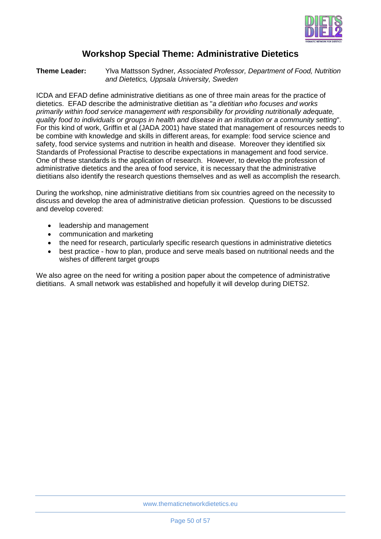

## **Workshop Special Theme: Administrative Dietetics**

**Theme Leader:** Ylva Mattsson Sydner*, Associated Professor, Department of Food, Nutrition and Dietetics, Uppsala University, Sweden*

ICDA and EFAD define administrative dietitians as one of three main areas for the practice of dietetics. EFAD describe the administrative dietitian as "*a dietitian who focuses and works primarily within food service management with responsibility for providing nutritionally adequate, quality food to individuals or groups in health and disease in an institution or a community setting*". For this kind of work, Griffin et al (JADA 2001) have stated that management of resources needs to be combine with knowledge and skills in different areas, for example: food service science and safety, food service systems and nutrition in health and disease. Moreover they identified six Standards of Professional Practise to describe expectations in management and food service. One of these standards is the application of research. However, to develop the profession of administrative dietetics and the area of food service, it is necessary that the administrative dietitians also identify the research questions themselves and as well as accomplish the research.

During the workshop, nine administrative dietitians from six countries agreed on the necessity to discuss and develop the area of administrative dietician profession. Questions to be discussed and develop covered:

- leadership and management
- communication and marketing
- the need for research, particularly specific research questions in administrative dietetics
- best practice how to plan, produce and serve meals based on nutritional needs and the wishes of different target groups

We also agree on the need for writing a position paper about the competence of administrative dietitians. A small network was established and hopefully it will develop during DIETS2.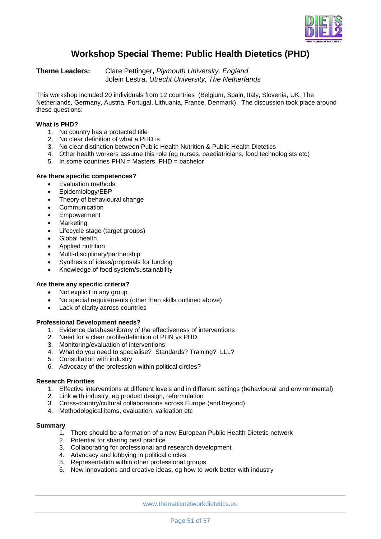

# **Workshop Special Theme: Public Health Dietetics (PHD)**

**Theme Leaders:** Clare Pettinger**,** *Plymouth University, England* Jolein Lestra, *Utrecht University, The Netherlands*

This workshop included 20 individuals from 12 countries (Belgium, Spain, Italy, Slovenia, UK, The Netherlands, Germany, Austria, Portugal, Lithuania, France, Denmark). The discussion took place around these questions:

#### **What is PHD?**

- 1. No country has a protected title
- 2. No clear definition of what a PHD is
- 3. No clear distinction between Public Health Nutrition & Public Health Dietetics
- 4. Other health workers assume this role (eg nurses, paediatricians, food technologists etc)
- 5. In some countries PHN = Masters, PHD = bachelor

#### **Are there specific competences?**

- Evaluation methods
- Epidemiology/EBP
- Theory of behavioural change
- Communication
- Empowerment
- Marketing
- Lifecycle stage (target groups)
- Global health
- Applied nutrition
- Multi-disciplinary/partnership
- Synthesis of ideas/proposals for funding
- Knowledge of food system/sustainability

#### **Are there any specific criteria?**

- Not explicit in any group...
- No special requirements (other than skills outlined above)
- Lack of clarity across countries

#### **Professional Development needs?**

- 1. Evidence database/library of the effectiveness of interventions
- 2. Need for a clear profile/definition of PHN vs PHD
- 3. Monitoring/evaluation of interventions
- 4. What do you need to specialise? Standards? Training? LLL?
- 5. Consultation with industry
- 6. Advocacy of the profession within political circles?

#### **Research Priorities**

- 1. Effective interventions at different levels and in different settings (behavioural and environmental)
- 2. Link with industry, eg product design, reformulation
- 3. Cross-country/cultural collaborations across Europe (and beyond)
- 4. Methodological items, evaluation, validation etc

#### **Summary**

- 1. There should be a formation of a new European Public Health Dietetic network
- 2. Potential for sharing best practice
- 3. Collaborating for professional and research development
- 4. Advocacy and lobbying in political circles
- 5. Representation within other professional groups
- 6. New innovations and creative ideas, eg how to work better with industry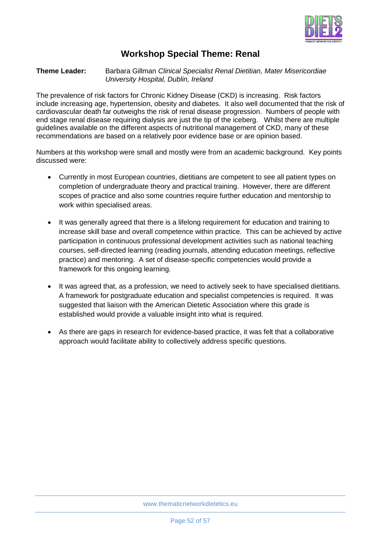

# **Workshop Special Theme: Renal**

#### **Theme Leader:** Barbara Gillman *Clinical Specialist Renal Dietitian, Mater Misericordiae University Hospital, Dublin, Ireland*

The prevalence of risk factors for Chronic Kidney Disease (CKD) is increasing. Risk factors include increasing age, hypertension, obesity and diabetes. It also well documented that the risk of cardiovascular death far outweighs the risk of renal disease progression. Numbers of people with end stage renal disease requiring dialysis are just the tip of the iceberg. Whilst there are multiple guidelines available on the different aspects of nutritional management of CKD, many of these recommendations are based on a relatively poor evidence base or are opinion based.

Numbers at this workshop were small and mostly were from an academic background. Key points discussed were:

- Currently in most European countries, dietitians are competent to see all patient types on completion of undergraduate theory and practical training. However, there are different scopes of practice and also some countries require further education and mentorship to work within specialised areas.
- It was generally agreed that there is a lifelong requirement for education and training to increase skill base and overall competence within practice. This can be achieved by active participation in continuous professional development activities such as national teaching courses, self-directed learning (reading journals, attending education meetings, reflective practice) and mentoring. A set of disease-specific competencies would provide a framework for this ongoing learning.
- It was agreed that, as a profession, we need to actively seek to have specialised dietitians. A framework for postgraduate education and specialist competencies is required. It was suggested that liaison with the American Dietetic Association where this grade is established would provide a valuable insight into what is required.
- As there are gaps in research for evidence-based practice, it was felt that a collaborative approach would facilitate ability to collectively address specific questions.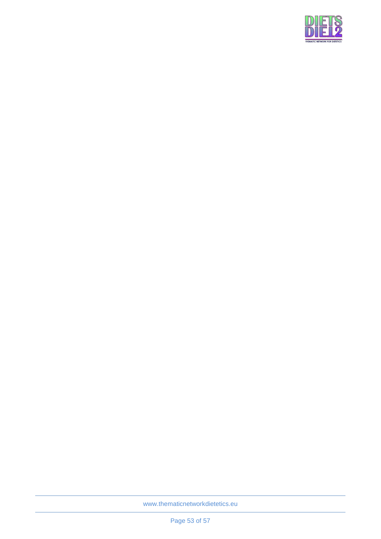